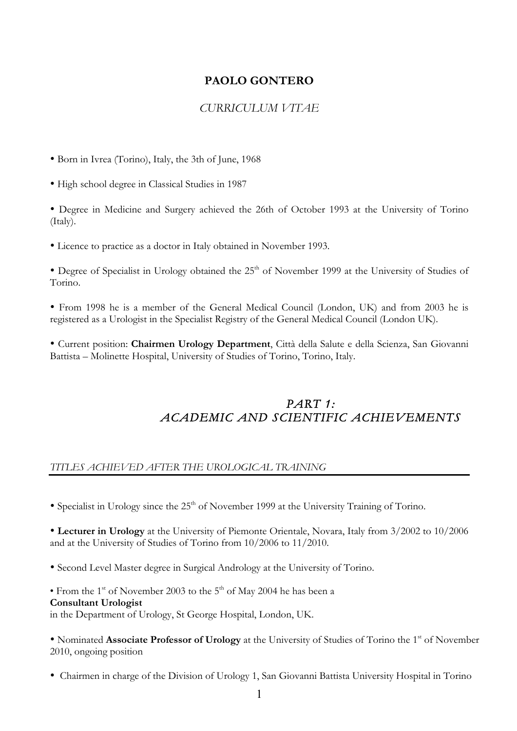# **PAOLO GONTERO**

# *CURRICULUM VITAE*

• Born in Ivrea (Torino), Italy, the 3th of June, 1968

• High school degree in Classical Studies in 1987

• Degree in Medicine and Surgery achieved the 26th of October 1993 at the University of Torino (Italy).

• Licence to practice as a doctor in Italy obtained in November 1993.

• Degree of Specialist in Urology obtained the  $25<sup>th</sup>$  of November 1999 at the University of Studies of Torino.

• From 1998 he is a member of the General Medical Council (London, UK) and from 2003 he is registered as a Urologist in the Specialist Registry of the General Medical Council (London UK).

• Current position: **Chairmen Urology Department**, Città della Salute e della Scienza, San Giovanni Battista – Molinette Hospital, University of Studies of Torino, Torino, Italy.

# *PART 1: ACADEMIC AND SCIENTIFIC ACHIEVEMENTS*

## *TITLES ACHIEVED AFTER THE UROLOGICAL TRAINING*

• Specialist in Urology since the  $25<sup>th</sup>$  of November 1999 at the University Training of Torino.

• **Lecturer in Urology** at the University of Piemonte Orientale, Novara, Italy from 3/2002 to 10/2006 and at the University of Studies of Torino from 10/2006 to 11/2010.

• Second Level Master degree in Surgical Andrology at the University of Torino.

• From the 1<sup>st</sup> of November 2003 to the 5<sup>th</sup> of May 2004 he has been a **Consultant Urologist**  in the Department of Urology, St George Hospital, London, UK.

• Nominated **Associate Professor of Urology** at the University of Studies of Torino the 1<sup>st</sup> of November 2010, ongoing position

• Chairmen in charge of the Division of Urology 1, San Giovanni Battista University Hospital in Torino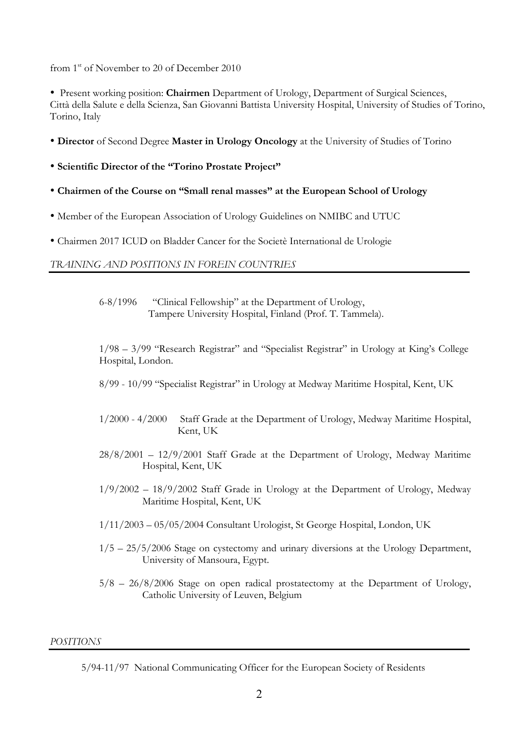from 1<sup>st</sup> of November to 20 of December 2010

• Present working position: **Chairmen** Department of Urology, Department of Surgical Sciences, Città della Salute e della Scienza, San Giovanni Battista University Hospital, University of Studies of Torino, Torino, Italy

- **Director** of Second Degree **Master in Urology Oncology** at the University of Studies of Torino
- **Scientific Director of the "Torino Prostate Project"**
- **Chairmen of the Course on "Small renal masses" at the European School of Urology**
- Member of the European Association of Urology Guidelines on NMIBC and UTUC
- Chairmen 2017 ICUD on Bladder Cancer for the Societè International de Urologie

## *TRAINING AND POSITIONS IN FOREIN COUNTRIES*

6-8/1996 "Clinical Fellowship" at the Department of Urology, Tampere University Hospital, Finland (Prof. T. Tammela).

1/98 – 3/99 "Research Registrar" and "Specialist Registrar" in Urology at King's College Hospital, London.

- 8/99 10/99 "Specialist Registrar" in Urology at Medway Maritime Hospital, Kent, UK
- 1/2000 4/2000 Staff Grade at the Department of Urology, Medway Maritime Hospital, Kent, UK
- 28/8/2001 12/9/2001 Staff Grade at the Department of Urology, Medway Maritime Hospital, Kent, UK
- $1/9/2002 18/9/2002$  Staff Grade in Urology at the Department of Urology, Medway Maritime Hospital, Kent, UK
- 1/11/2003 05/05/2004 Consultant Urologist, St George Hospital, London, UK
- $1/5 25/5/2006$  Stage on cystectomy and urinary diversions at the Urology Department, University of Mansoura, Egypt.
- 5/8 26/8/2006 Stage on open radical prostatectomy at the Department of Urology, Catholic University of Leuven, Belgium

## *POSITIONS*

 <sup>5/94-11/97</sup> National Communicating Officer for the European Society of Residents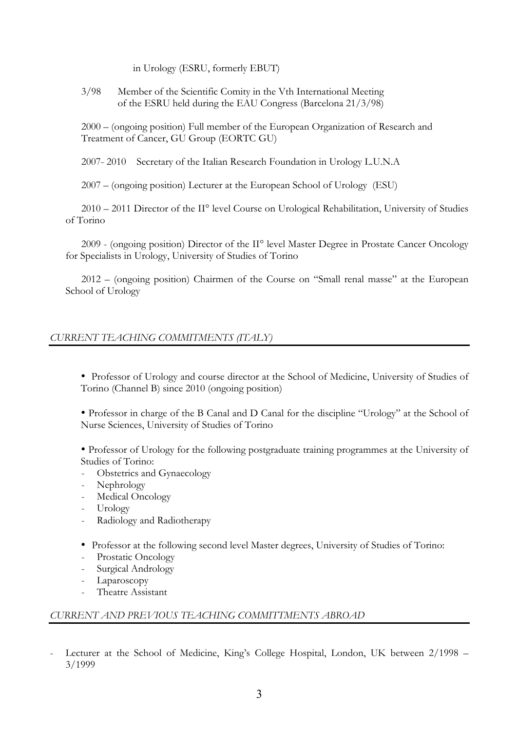in Urology (ESRU, formerly EBUT)

3/98 Member of the Scientific Comity in the Vth International Meeting of the ESRU held during the EAU Congress (Barcelona 21/3/98)

2000 – (ongoing position) Full member of the European Organization of Research and Treatment of Cancer, GU Group (EORTC GU)

2007- 2010 Secretary of the Italian Research Foundation in Urology L.U.N.A

2007 – (ongoing position) Lecturer at the European School of Urology (ESU)

 2010 – 2011 Director of the II° level Course on Urological Rehabilitation, University of Studies of Torino

 2009 - (ongoing position) Director of the II° level Master Degree in Prostate Cancer Oncology for Specialists in Urology, University of Studies of Torino

 2012 – (ongoing position) Chairmen of the Course on "Small renal masse" at the European School of Urology

## *CURRENT TEACHING COMMITMENTS (ITALY)*

• Professor of Urology and course director at the School of Medicine, University of Studies of Torino (Channel B) since 2010 (ongoing position)

• Professor in charge of the B Canal and D Canal for the discipline "Urology" at the School of Nurse Sciences, University of Studies of Torino

• Professor of Urology for the following postgraduate training programmes at the University of Studies of Torino:

- Obstetrics and Gynaecology
- Nephrology
- Medical Oncology
- Urology
- Radiology and Radiotherapy
- Professor at the following second level Master degrees, University of Studies of Torino:
- Prostatic Oncology
- Surgical Andrology
- Laparoscopy
- Theatre Assistant

## *CURRENT AND PREVIOUS TEACHING COMMITTMENTS ABROAD*

Lecturer at the School of Medicine, King's College Hospital, London, UK between 2/1998 – 3/1999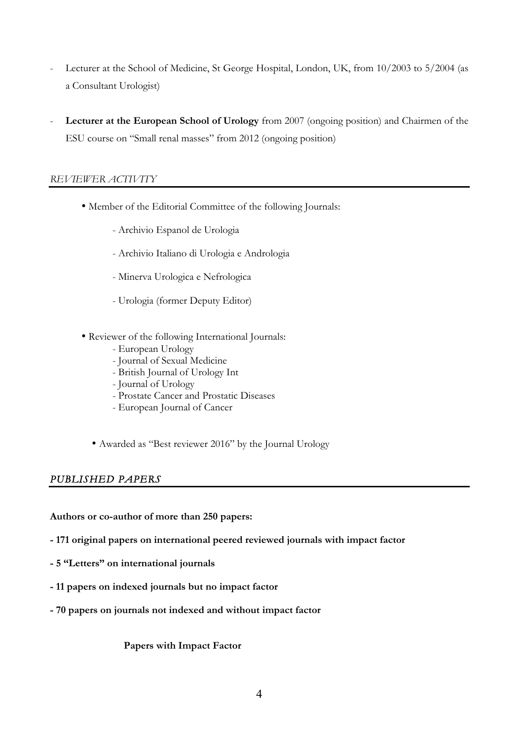- Lecturer at the School of Medicine, St George Hospital, London, UK, from 10/2003 to 5/2004 (as a Consultant Urologist)
- **Lecturer at the European School of Urology** from 2007 (ongoing position) and Chairmen of the ESU course on "Small renal masses" from 2012 (ongoing position)

## *REVIEWER ACTIVITY*

- Member of the Editorial Committee of the following Journals:
	- Archivio Espanol de Urologia
	- Archivio Italiano di Urologia e Andrologia
	- Minerva Urologica e Nefrologica
	- Urologia (former Deputy Editor)
- Reviewer of the following International Journals:
	- European Urology
	- Journal of Sexual Medicine
	- British Journal of Urology Int
	- Journal of Urology
	- Prostate Cancer and Prostatic Diseases
	- European Journal of Cancer
	- Awarded as "Best reviewer 2016" by the Journal Urology

## *PUBLISHED PAPERS*

**Authors or co-author of more than 250 papers:**

- **- 171 original papers on international peered reviewed journals with impact factor**
- **- 5 "Letters" on international journals**
- **- 11 papers on indexed journals but no impact factor**
- **- 70 papers on journals not indexed and without impact factor**

**Papers with Impact Factor**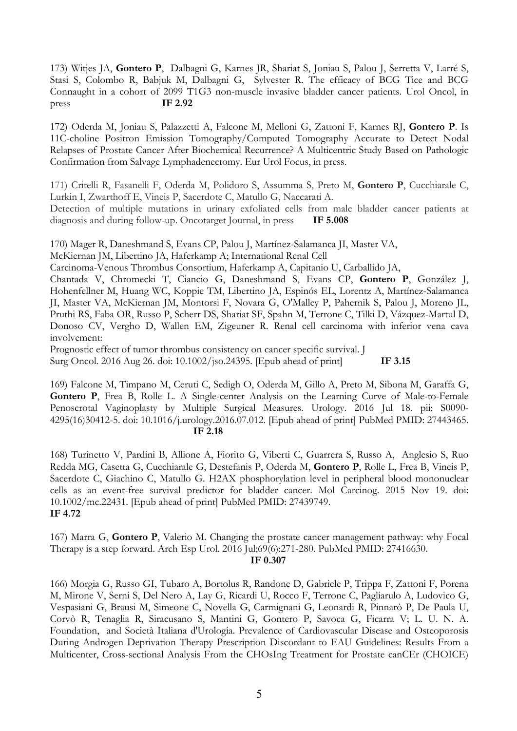173) Witjes JA, **Gontero P**, Dalbagni G, Karnes JR, Shariat S, Joniau S, Palou J, Serretta V, Larré S, Stasi S, Colombo R, Babjuk M, Dalbagni G, Sylvester R. The efficacy of BCG Tice and BCG Connaught in a cohort of 2099 T1G3 non-muscle invasive bladder cancer patients. Urol Oncol, in press **IF 2.92**

172) Oderda M, Joniau S, Palazzetti A, Falcone M, Melloni G, Zattoni F, Karnes RJ, **Gontero P**. Is 11C-choline Positron Emission Tomography/Computed Tomography Accurate to Detect Nodal Relapses of Prostate Cancer After Biochemical Recurrence? A Multicentric Study Based on Pathologic Confirmation from Salvage Lymphadenectomy. Eur Urol Focus, in press.

171) Critelli R, Fasanelli F, Oderda M, Polidoro S, Assumma S, Preto M, **Gontero P**, Cucchiarale C, Lurkin I, Zwarthoff E, Vineis P, Sacerdote C, Matullo G, Naccarati A.

Detection of multiple mutations in urinary exfoliated cells from male bladder cancer patients at diagnosis and during follow-up. Oncotarget Journal, in press **IF 5.008**

170) Mager R, Daneshmand S, Evans CP, Palou J, Martínez-Salamanca JI, Master VA,

McKiernan JM, Libertino JA, Haferkamp A; International Renal Cell

Carcinoma-Venous Thrombus Consortium, Haferkamp A, Capitanio U, Carballido JA,

Chantada V, Chromecki T, Ciancio G, Daneshmand S, Evans CP, **Gontero P**, González J, Hohenfellner M, Huang WC, Koppie TM, Libertino JA, Espinós EL, Lorentz A, Martínez-Salamanca JI, Master VA, McKiernan JM, Montorsi F, Novara G, O'Malley P, Pahernik S, Palou J, Moreno JL, Pruthi RS, Faba OR, Russo P, Scherr DS, Shariat SF, Spahn M, Terrone C, Tilki D, Vázquez-Martul D, Donoso CV, Vergho D, Wallen EM, Zigeuner R. Renal cell carcinoma with inferior vena cava involvement:

Prognostic effect of tumor thrombus consistency on cancer specific survival. J

Surg Oncol. 2016 Aug 26. doi: 10.1002/jso.24395. [Epub ahead of print] **IF 3.15**

169) Falcone M, Timpano M, Ceruti C, Sedigh O, Oderda M, Gillo A, Preto M, Sibona M, Garaffa G, **Gontero P**, Frea B, Rolle L. A Single-center Analysis on the Learning Curve of Male-to-Female Penoscrotal Vaginoplasty by Multiple Surgical Measures. Urology. 2016 Jul 18. pii: S0090- 4295(16)30412-5. doi: 10.1016/j.urology.2016.07.012. [Epub ahead of print] PubMed PMID: 27443465.  **IF 2.18**

168) Turinetto V, Pardini B, Allione A, Fiorito G, Viberti C, Guarrera S, Russo A, Anglesio S, Ruo Redda MG, Casetta G, Cucchiarale G, Destefanis P, Oderda M, **Gontero P**, Rolle L, Frea B, Vineis P, Sacerdote C, Giachino C, Matullo G. H2AX phosphorylation level in peripheral blood mononuclear cells as an event-free survival predictor for bladder cancer. Mol Carcinog. 2015 Nov 19. doi: 10.1002/mc.22431. [Epub ahead of print] PubMed PMID: 27439749. **IF 4.72**

167) Marra G, **Gontero P**, Valerio M. Changing the prostate cancer management pathway: why Focal Therapy is a step forward. Arch Esp Urol. 2016 Jul;69(6):271-280. PubMed PMID: 27416630.

**IF 0.307**

166) Morgia G, Russo GI, Tubaro A, Bortolus R, Randone D, Gabriele P, Trippa F, Zattoni F, Porena M, Mirone V, Serni S, Del Nero A, Lay G, Ricardi U, Rocco F, Terrone C, Pagliarulo A, Ludovico G, Vespasiani G, Brausi M, Simeone C, Novella G, Carmignani G, Leonardi R, Pinnarò P, De Paula U, Corvò R, Tenaglia R, Siracusano S, Mantini G, Gontero P, Savoca G, Ficarra V; L. U. N. A. Foundation, and Società Italiana d'Urologia. Prevalence of Cardiovascular Disease and Osteoporosis During Androgen Deprivation Therapy Prescription Discordant to EAU Guidelines: Results From a Multicenter, Cross-sectional Analysis From the CHOsIng Treatment for Prostate canCEr (CHOICE)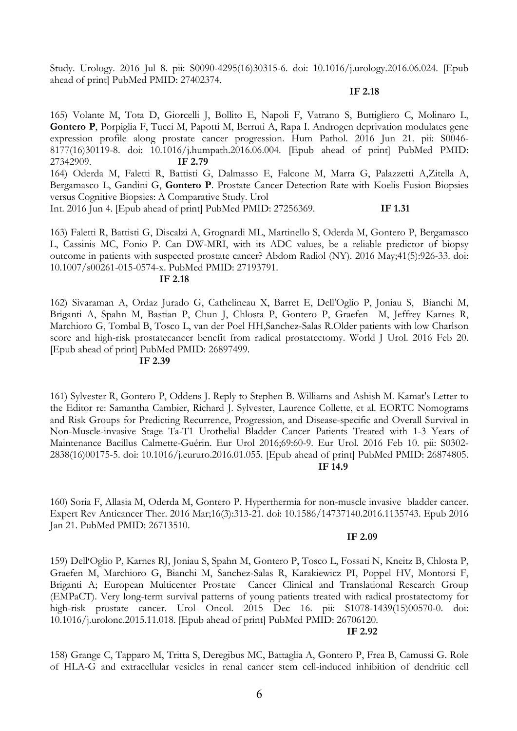Study. Urology. 2016 Jul 8. pii: S0090-4295(16)30315-6. doi: 10.1016/j.urology.2016.06.024. [Epub ahead of print] PubMed PMID: 27402374.

#### **IF 2.18**

165) Volante M, Tota D, Giorcelli J, Bollito E, Napoli F, Vatrano S, Buttigliero C, Molinaro L, **Gontero P**, Porpiglia F, Tucci M, Papotti M, Berruti A, Rapa I. Androgen deprivation modulates gene expression profile along prostate cancer progression. Hum Pathol. 2016 Jun 21. pii: S0046- 8177(16)30119-8. doi: 10.1016/j.humpath.2016.06.004. [Epub ahead of print] PubMed PMID: 27342909. **IF 2.79**  164) Oderda M, Faletti R, Battisti G, Dalmasso E, Falcone M, Marra G, Palazzetti A,Zitella A, Bergamasco L, Gandini G, **Gontero P**. Prostate Cancer Detection Rate with Koelis Fusion Biopsies versus Cognitive Biopsies: A Comparative Study. Urol Int. 2016 Jun 4. [Epub ahead of print] PubMed PMID: 27256369. **IF 1.31**

163) Faletti R, Battisti G, Discalzi A, Grognardi ML, Martinello S, Oderda M, Gontero P, Bergamasco L, Cassinis MC, Fonio P. Can DW-MRI, with its ADC values, be a reliable predictor of biopsy outcome in patients with suspected prostate cancer? Abdom Radiol (NY). 2016 May;41(5):926-33. doi: 10.1007/s00261-015-0574-x. PubMed PMID: 27193791.

#### **IF 2.18**

162) Sivaraman A, Ordaz Jurado G, Cathelineau X, Barret E, Dell'Oglio P, Joniau S, Bianchi M, Briganti A, Spahn M, Bastian P, Chun J, Chlosta P, Gontero P, Graefen M, Jeffrey Karnes R, Marchioro G, Tombal B, Tosco L, van der Poel HH,Sanchez-Salas R.Older patients with low Charlson score and high-risk prostatecancer benefit from radical prostatectomy. World J Urol. 2016 Feb 20. [Epub ahead of print] PubMed PMID: 26897499.

#### **IF 2.39**

161) Sylvester R, Gontero P, Oddens J. Reply to Stephen B. Williams and Ashish M. Kamat's Letter to the Editor re: Samantha Cambier, Richard J. Sylvester, Laurence Collette, et al. EORTC Nomograms and Risk Groups for Predicting Recurrence, Progression, and Disease-specific and Overall Survival in Non-Muscle-invasive Stage Ta-T1 Urothelial Bladder Cancer Patients Treated with 1-3 Years of Maintenance Bacillus Calmette-Guérin. Eur Urol 2016;69:60-9. Eur Urol. 2016 Feb 10. pii: S0302- 2838(16)00175-5. doi: 10.1016/j.eururo.2016.01.055. [Epub ahead of print] PubMed PMID: 26874805. **IF 14.9**

160) Soria F, Allasia M, Oderda M, Gontero P. Hyperthermia for non-muscle invasive bladder cancer. Expert Rev Anticancer Ther. 2016 Mar;16(3):313-21. doi: 10.1586/14737140.2016.1135743. Epub 2016 Jan 21. PubMed PMID: 26713510.

#### **IF 2.09**

159) Dell׳Oglio P, Karnes RJ, Joniau S, Spahn M, Gontero P, Tosco L, Fossati N, Kneitz B, Chlosta P, Graefen M, Marchioro G, Bianchi M, Sanchez-Salas R, Karakiewicz PI, Poppel HV, Montorsi F, Briganti A; European Multicenter Prostate Cancer Clinical and Translational Research Group (EMPaCT). Very long-term survival patterns of young patients treated with radical prostatectomy for high-risk prostate cancer. Urol Oncol. 2015 Dec 16. pii: S1078-1439(15)00570-0. doi: 10.1016/j.urolonc.2015.11.018. [Epub ahead of print] PubMed PMID: 26706120.

#### **IF 2.92**

158) Grange C, Tapparo M, Tritta S, Deregibus MC, Battaglia A, Gontero P, Frea B, Camussi G. Role of HLA-G and extracellular vesicles in renal cancer stem cell-induced inhibition of dendritic cell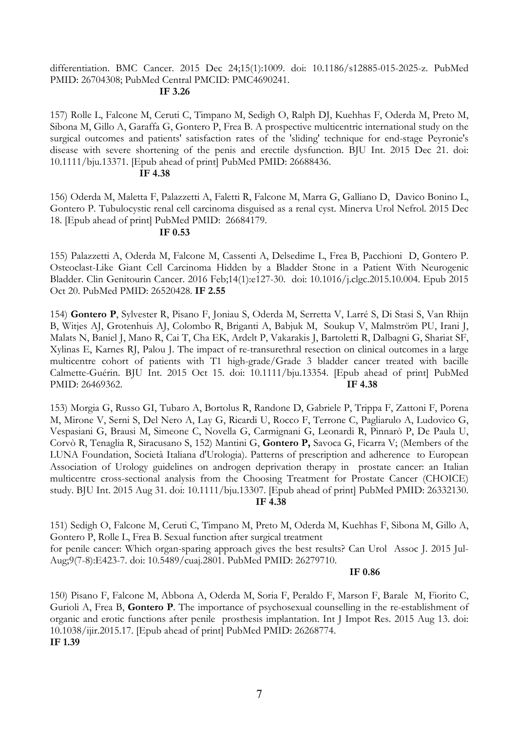## differentiation. BMC Cancer. 2015 Dec 24;15(1):1009. doi: 10.1186/s12885-015-2025-z. PubMed PMID: 26704308; PubMed Central PMCID: PMC4690241.

#### **IF 3.26**

157) Rolle L, Falcone M, Ceruti C, Timpano M, Sedigh O, Ralph DJ, Kuehhas F, Oderda M, Preto M, Sibona M, Gillo A, Garaffa G, Gontero P, Frea B. A prospective multicentric international study on the surgical outcomes and patients' satisfaction rates of the 'sliding' technique for end-stage Peyronie's disease with severe shortening of the penis and erectile dysfunction. BJU Int. 2015 Dec 21. doi: 10.1111/bju.13371. [Epub ahead of print] PubMed PMID: 26688436.

#### **IF 4.38**

156) Oderda M, Maletta F, Palazzetti A, Faletti R, Falcone M, Marra G, Galliano D, Davico Bonino L, Gontero P. Tubulocystic renal cell carcinoma disguised as a renal cyst. Minerva Urol Nefrol. 2015 Dec 18. [Epub ahead of print] PubMed PMID: 26684179.

## **IF 0.53**

155) Palazzetti A, Oderda M, Falcone M, Cassenti A, Delsedime L, Frea B, Pacchioni D, Gontero P. Osteoclast-Like Giant Cell Carcinoma Hidden by a Bladder Stone in a Patient With Neurogenic Bladder. Clin Genitourin Cancer. 2016 Feb;14(1):e127-30. doi: 10.1016/j.clgc.2015.10.004. Epub 2015 Oct 20. PubMed PMID: 26520428. **IF 2.55**

154) **Gontero P**, Sylvester R, Pisano F, Joniau S, Oderda M, Serretta V, Larré S, Di Stasi S, Van Rhijn B, Witjes AJ, Grotenhuis AJ, Colombo R, Briganti A, Babjuk M, Soukup V, Malmström PU, Irani J, Malats N, Baniel J, Mano R, Cai T, Cha EK, Ardelt P, Vakarakis J, Bartoletti R, Dalbagni G, Shariat SF, Xylinas E, Karnes RJ, Palou J. The impact of re-transurethral resection on clinical outcomes in a large multicentre cohort of patients with T1 high-grade/Grade 3 bladder cancer treated with bacille Calmette-Guérin. BJU Int. 2015 Oct 15. doi: 10.1111/bju.13354. [Epub ahead of print] PubMed PMID: 26469362. **IF 4.38**

153) Morgia G, Russo GI, Tubaro A, Bortolus R, Randone D, Gabriele P, Trippa F, Zattoni F, Porena M, Mirone V, Serni S, Del Nero A, Lay G, Ricardi U, Rocco F, Terrone C, Pagliarulo A, Ludovico G, Vespasiani G, Brausi M, Simeone C, Novella G, Carmignani G, Leonardi R, Pinnarò P, De Paula U, Corvò R, Tenaglia R, Siracusano S, 152) Mantini G, **Gontero P,** Savoca G, Ficarra V; (Members of the LUNA Foundation, Società Italiana d'Urologia). Patterns of prescription and adherence to European Association of Urology guidelines on androgen deprivation therapy in prostate cancer: an Italian multicentre cross-sectional analysis from the Choosing Treatment for Prostate Cancer (CHOICE) study. BJU Int. 2015 Aug 31. doi: 10.1111/bju.13307. [Epub ahead of print] PubMed PMID: 26332130.  **IF 4.38**

151) Sedigh O, Falcone M, Ceruti C, Timpano M, Preto M, Oderda M, Kuehhas F, Sibona M, Gillo A, Gontero P, Rolle L, Frea B. Sexual function after surgical treatment for penile cancer: Which organ-sparing approach gives the best results? Can Urol Assoc J. 2015 Jul-Aug;9(7-8):E423-7. doi: 10.5489/cuaj.2801. PubMed PMID: 26279710.

#### **IF 0.86**

150) Pisano F, Falcone M, Abbona A, Oderda M, Soria F, Peraldo F, Marson F, Barale M, Fiorito C, Gurioli A, Frea B, **Gontero P**. The importance of psychosexual counselling in the re-establishment of organic and erotic functions after penile prosthesis implantation. Int J Impot Res. 2015 Aug 13. doi: 10.1038/ijir.2015.17. [Epub ahead of print] PubMed PMID: 26268774. **IF 1.39**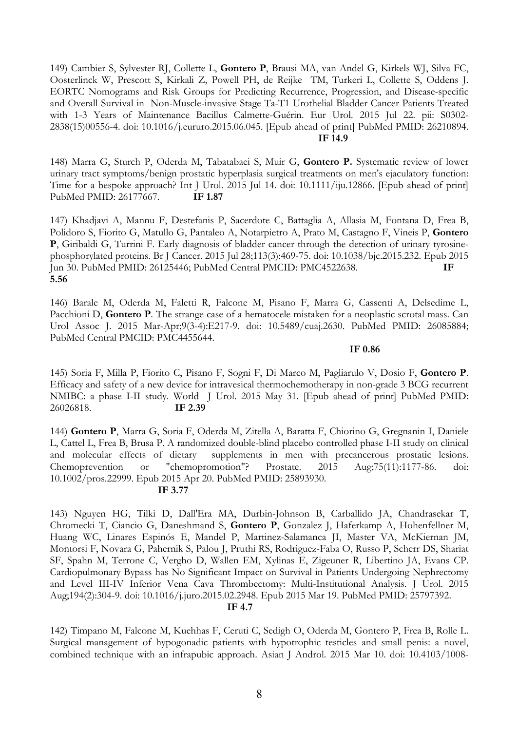149) Cambier S, Sylvester RJ, Collette L, **Gontero P**, Brausi MA, van Andel G, Kirkels WJ, Silva FC, Oosterlinck W, Prescott S, Kirkali Z, Powell PH, de Reijke TM, Turkeri L, Collette S, Oddens J. EORTC Nomograms and Risk Groups for Predicting Recurrence, Progression, and Disease-specific and Overall Survival in Non-Muscle-invasive Stage Ta-T1 Urothelial Bladder Cancer Patients Treated with 1-3 Years of Maintenance Bacillus Calmette-Guérin. Eur Urol. 2015 Jul 22. pii: S0302- 2838(15)00556-4. doi: 10.1016/j.eururo.2015.06.045. [Epub ahead of print] PubMed PMID: 26210894. **IF 14.9**

148) Marra G, Sturch P, Oderda M, Tabatabaei S, Muir G, **Gontero P.** Systematic review of lower urinary tract symptoms/benign prostatic hyperplasia surgical treatments on men's ejaculatory function: Time for a bespoke approach? Int J Urol. 2015 Jul 14. doi: 10.1111/iju.12866. [Epub ahead of print] PubMed PMID: 26177667. **IF 1.87**

147) Khadjavi A, Mannu F, Destefanis P, Sacerdote C, Battaglia A, Allasia M, Fontana D, Frea B, Polidoro S, Fiorito G, Matullo G, Pantaleo A, Notarpietro A, Prato M, Castagno F, Vineis P, **Gontero P**, Giribaldi G, Turrini F. Early diagnosis of bladder cancer through the detection of urinary tyrosinephosphorylated proteins. Br J Cancer. 2015 Jul 28;113(3):469-75. doi: 10.1038/bjc.2015.232. Epub 2015 Jun 30. PubMed PMID: 26125446; PubMed Central PMCID: PMC4522638. **IF 5.56**

146) Barale M, Oderda M, Faletti R, Falcone M, Pisano F, Marra G, Cassenti A, Delsedime L, Pacchioni D, **Gontero P**. The strange case of a hematocele mistaken for a neoplastic scrotal mass. Can Urol Assoc J. 2015 Mar-Apr;9(3-4):E217-9. doi: 10.5489/cuaj.2630. PubMed PMID: 26085884; PubMed Central PMCID: PMC4455644.

## **IF 0.86**

145) Soria F, Milla P, Fiorito C, Pisano F, Sogni F, Di Marco M, Pagliarulo V, Dosio F, **Gontero P**. Efficacy and safety of a new device for intravesical thermochemotherapy in non-grade 3 BCG recurrent NMIBC: a phase I-II study. World J Urol. 2015 May 31. [Epub ahead of print] PubMed PMID: 26026818. **IF 2.39** 

144) **Gontero P**, Marra G, Soria F, Oderda M, Zitella A, Baratta F, Chiorino G, Gregnanin I, Daniele L, Cattel L, Frea B, Brusa P. A randomized double-blind placebo controlled phase I-II study on clinical and molecular effects of dietary supplements in men with precancerous prostatic lesions. Chemoprevention or "chemopromotion"? Prostate. 2015 Aug;75(11):1177-86. doi: 10.1002/pros.22999. Epub 2015 Apr 20. PubMed PMID: 25893930.

## **IF 3.77**

143) Nguyen HG, Tilki D, Dall'Era MA, Durbin-Johnson B, Carballido JA, Chandrasekar T, Chromecki T, Ciancio G, Daneshmand S, **Gontero P**, Gonzalez J, Haferkamp A, Hohenfellner M, Huang WC, Linares Espinós E, Mandel P, Martinez-Salamanca JI, Master VA, McKiernan JM, Montorsi F, Novara G, Pahernik S, Palou J, Pruthi RS, Rodriguez-Faba O, Russo P, Scherr DS, Shariat SF, Spahn M, Terrone C, Vergho D, Wallen EM, Xylinas E, Zigeuner R, Libertino JA, Evans CP. Cardiopulmonary Bypass has No Significant Impact on Survival in Patients Undergoing Nephrectomy and Level III-IV Inferior Vena Cava Thrombectomy: Multi-Institutional Analysis. J Urol. 2015 Aug;194(2):304-9. doi: 10.1016/j.juro.2015.02.2948. Epub 2015 Mar 19. PubMed PMID: 25797392.

## **IF 4.7**

142) Timpano M, Falcone M, Kuehhas F, Ceruti C, Sedigh O, Oderda M, Gontero P, Frea B, Rolle L. Surgical management of hypogonadic patients with hypotrophic testicles and small penis: a novel, combined technique with an infrapubic approach. Asian J Androl. 2015 Mar 10. doi: 10.4103/1008-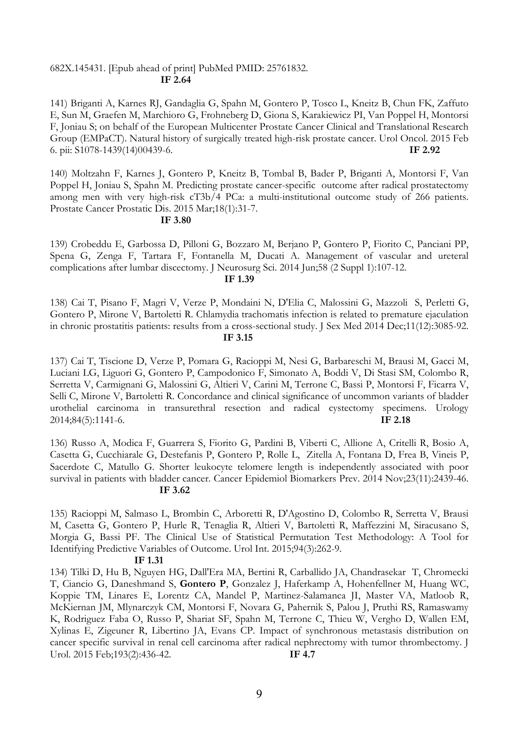## 682X.145431. [Epub ahead of print] PubMed PMID: 25761832.  **IF 2.64**

141) Briganti A, Karnes RJ, Gandaglia G, Spahn M, Gontero P, Tosco L, Kneitz B, Chun FK, Zaffuto E, Sun M, Graefen M, Marchioro G, Frohneberg D, Giona S, Karakiewicz PI, Van Poppel H, Montorsi F, Joniau S; on behalf of the European Multicenter Prostate Cancer Clinical and Translational Research Group (EMPaCT). Natural history of surgically treated high-risk prostate cancer. Urol Oncol. 2015 Feb 6. pii: S1078-1439(14)00439-6. **IF 2.92**

140) Moltzahn F, Karnes J, Gontero P, Kneitz B, Tombal B, Bader P, Briganti A, Montorsi F, Van Poppel H, Joniau S, Spahn M. Predicting prostate cancer-specific outcome after radical prostatectomy among men with very high-risk cT3b/4 PCa: a multi-institutional outcome study of 266 patients. Prostate Cancer Prostatic Dis. 2015 Mar;18(1):31-7.

#### **IF 3.80**

139) Crobeddu E, Garbossa D, Pilloni G, Bozzaro M, Berjano P, Gontero P, Fiorito C, Panciani PP, Spena G, Zenga F, Tartara F, Fontanella M, Ducati A. Management of vascular and ureteral complications after lumbar discectomy. J Neurosurg Sci. 2014 Jun;58 (2 Suppl 1):107-12.

#### **IF 1.39**

138) Cai T, Pisano F, Magri V, Verze P, Mondaini N, D'Elia C, Malossini G, Mazzoli S, Perletti G, Gontero P, Mirone V, Bartoletti R. Chlamydia trachomatis infection is related to premature ejaculation in chronic prostatitis patients: results from a cross-sectional study. J Sex Med 2014 Dec;11(12):3085-92. **IF 3.15**

137) Cai T, Tiscione D, Verze P, Pomara G, Racioppi M, Nesi G, Barbareschi M, Brausi M, Gacci M, Luciani LG, Liguori G, Gontero P, Campodonico F, Simonato A, Boddi V, Di Stasi SM, Colombo R, Serretta V, Carmignani G, Malossini G, Altieri V, Carini M, Terrone C, Bassi P, Montorsi F, Ficarra V, Selli C, Mirone V, Bartoletti R. Concordance and clinical significance of uncommon variants of bladder urothelial carcinoma in transurethral resection and radical cystectomy specimens. Urology 2014;84(5):1141-6. **IF 2.18**

136) Russo A, Modica F, Guarrera S, Fiorito G, Pardini B, Viberti C, Allione A, Critelli R, Bosio A, Casetta G, Cucchiarale G, Destefanis P, Gontero P, Rolle L, Zitella A, Fontana D, Frea B, Vineis P, Sacerdote C, Matullo G. Shorter leukocyte telomere length is independently associated with poor survival in patients with bladder cancer. Cancer Epidemiol Biomarkers Prev. 2014 Nov;23(11):2439-46. **IF 3.62**

135) Racioppi M, Salmaso L, Brombin C, Arboretti R, D'Agostino D, Colombo R, Serretta V, Brausi M, Casetta G, Gontero P, Hurle R, Tenaglia R, Altieri V, Bartoletti R, Maffezzini M, Siracusano S, Morgia G, Bassi PF. The Clinical Use of Statistical Permutation Test Methodology: A Tool for Identifying Predictive Variables of Outcome. Urol Int. 2015;94(3):262-9.

#### **IF 1.31**

134) Tilki D, Hu B, Nguyen HG, Dall'Era MA, Bertini R, Carballido JA, Chandrasekar T, Chromecki T, Ciancio G, Daneshmand S, **Gontero P**, Gonzalez J, Haferkamp A, Hohenfellner M, Huang WC, Koppie TM, Linares E, Lorentz CA, Mandel P, Martinez-Salamanca JI, Master VA, Matloob R, McKiernan JM, Mlynarczyk CM, Montorsi F, Novara G, Pahernik S, Palou J, Pruthi RS, Ramaswamy K, Rodriguez Faba O, Russo P, Shariat SF, Spahn M, Terrone C, Thieu W, Vergho D, Wallen EM, Xylinas E, Zigeuner R, Libertino JA, Evans CP. Impact of synchronous metastasis distribution on cancer specific survival in renal cell carcinoma after radical nephrectomy with tumor thrombectomy. J Urol. 2015 Feb;193(2):436-42. **IF 4.7**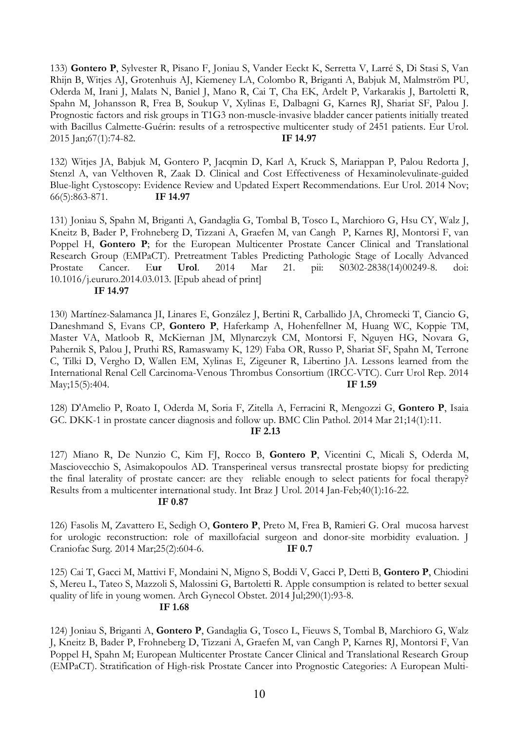133) **Gontero P**, Sylvester R, Pisano F, Joniau S, Vander Eeckt K, Serretta V, Larré S, Di Stasi S, Van Rhijn B, Witjes AJ, Grotenhuis AJ, Kiemeney LA, Colombo R, Briganti A, Babjuk M, Malmström PU, Oderda M, Irani J, Malats N, Baniel J, Mano R, Cai T, Cha EK, Ardelt P, Varkarakis J, Bartoletti R, Spahn M, Johansson R, Frea B, Soukup V, Xylinas E, Dalbagni G, Karnes RJ, Shariat SF, Palou J. Prognostic factors and risk groups in T1G3 non-muscle-invasive bladder cancer patients initially treated with Bacillus Calmette-Guérin: results of a retrospective multicenter study of 2451 patients. Eur Urol. 2015 Jan;67(1):74-82. **IF 14.97**

132) Witjes JA, Babjuk M, Gontero P, Jacqmin D, Karl A, Kruck S, Mariappan P, Palou Redorta J, Stenzl A, van Velthoven R, Zaak D. Clinical and Cost Effectiveness of Hexaminolevulinate-guided Blue-light Cystoscopy: Evidence Review and Updated Expert Recommendations. Eur Urol. 2014 Nov; 66(5):863-871. **IF 14.97**

131) Joniau S, Spahn M, Briganti A, Gandaglia G, Tombal B, Tosco L, Marchioro G, Hsu CY, Walz J, Kneitz B, Bader P, Frohneberg D, Tizzani A, Graefen M, van Cangh P, Karnes RJ, Montorsi F, van Poppel H, Gontero P; for the European Multicenter Prostate Cancer Clinical and Translational Research Group (EMPaCT). Pretreatment Tables Predicting Pathologic Stage of Locally Advanced Prostate Cancer. E**ur Urol**. 2014 Mar 21. pii: S0302-2838(14)00249-8. doi: 10.1016/j.eururo.2014.03.013. [Epub ahead of print]  **IF 14.97**

130) Martínez-Salamanca JI, Linares E, González J, Bertini R, Carballido JA, Chromecki T, Ciancio G, Daneshmand S, Evans CP, **Gontero P**, Haferkamp A, Hohenfellner M, Huang WC, Koppie TM, Master VA, Matloob R, McKiernan JM, Mlynarczyk CM, Montorsi F, Nguyen HG, Novara G, Pahernik S, Palou J, Pruthi RS, Ramaswamy K, 129) Faba OR, Russo P, Shariat SF, Spahn M, Terrone C, Tilki D, Vergho D, Wallen EM, Xylinas E, Zigeuner R, Libertino JA. Lessons learned from the International Renal Cell Carcinoma-Venous Thrombus Consortium (IRCC-VTC). Curr Urol Rep. 2014 May;15(5):404. **IF 1.59**

128) D'Amelio P, Roato I, Oderda M, Soria F, Zitella A, Ferracini R, Mengozzi G, **Gontero P**, Isaia GC. DKK-1 in prostate cancer diagnosis and follow up. BMC Clin Pathol. 2014 Mar 21;14(1):11. **IF 2.13**

127) Miano R, De Nunzio C, Kim FJ, Rocco B, **Gontero P**, Vicentini C, Micali S, Oderda M, Masciovecchio S, Asimakopoulos AD. Transperineal versus transrectal prostate biopsy for predicting the final laterality of prostate cancer: are they reliable enough to select patients for focal therapy? Results from a multicenter international study. Int Braz J Urol. 2014 Jan-Feb;40(1):16-22.

## **IF 0.87**

126) Fasolis M, Zavattero E, Sedigh O, **Gontero P**, Preto M, Frea B, Ramieri G. Oral mucosa harvest for urologic reconstruction: role of maxillofacial surgeon and donor-site morbidity evaluation. J Craniofac Surg. 2014 Mar;25(2):604-6. **IF 0.7**

125) Cai T, Gacci M, Mattivi F, Mondaini N, Migno S, Boddi V, Gacci P, Detti B, **Gontero P**, Chiodini S, Mereu L, Tateo S, Mazzoli S, Malossini G, Bartoletti R. Apple consumption is related to better sexual quality of life in young women. Arch Gynecol Obstet. 2014 Jul;290(1):93-8.

 **IF 1.68**

124) Joniau S, Briganti A, **Gontero P**, Gandaglia G, Tosco L, Fieuws S, Tombal B, Marchioro G, Walz J, Kneitz B, Bader P, Frohneberg D, Tizzani A, Graefen M, van Cangh P, Karnes RJ, Montorsi F, Van Poppel H, Spahn M; European Multicenter Prostate Cancer Clinical and Translational Research Group (EMPaCT). Stratification of High-risk Prostate Cancer into Prognostic Categories: A European Multi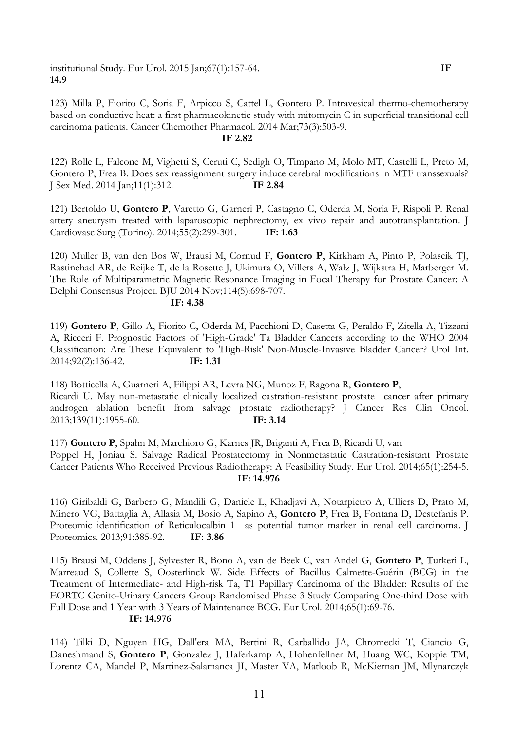institutional Study. Eur Urol. 2015 Jan;67(1):157-64. **IF 14.9**

123) Milla P, Fiorito C, Soria F, Arpicco S, Cattel L, Gontero P. Intravesical thermo-chemotherapy based on conductive heat: a first pharmacokinetic study with mitomycin C in superficial transitional cell carcinoma patients. Cancer Chemother Pharmacol. 2014 Mar;73(3):503-9.

### **IF 2.82**

122) Rolle L, Falcone M, Vighetti S, Ceruti C, Sedigh O, Timpano M, Molo MT, Castelli L, Preto M, Gontero P, Frea B. Does sex reassignment surgery induce cerebral modifications in MTF transsexuals? J Sex Med. 2014 Jan;11(1):312. **IF 2.84**

121) Bertoldo U, **Gontero P**, Varetto G, Garneri P, Castagno C, Oderda M, Soria F, Rispoli P. Renal artery aneurysm treated with laparoscopic nephrectomy, ex vivo repair and autotransplantation. J Cardiovasc Surg (Torino). 2014;55(2):299-301. **IF: 1.63**

120) Muller B, van den Bos W, Brausi M, Cornud F, **Gontero P**, Kirkham A, Pinto P, Polascik TJ, Rastinehad AR, de Reijke T, de la Rosette J, Ukimura O, Villers A, Walz J, Wijkstra H, Marberger M. The Role of Multiparametric Magnetic Resonance Imaging in Focal Therapy for Prostate Cancer: A Delphi Consensus Project. BJU 2014 Nov;114(5):698-707.

#### **IF: 4.38**

119) **Gontero P**, Gillo A, Fiorito C, Oderda M, Pacchioni D, Casetta G, Peraldo F, Zitella A, Tizzani A, Ricceri F. Prognostic Factors of 'High-Grade' Ta Bladder Cancers according to the WHO 2004 Classification: Are These Equivalent to 'High-Risk' Non-Muscle-Invasive Bladder Cancer? Urol Int. 2014;92(2):136-42. **IF: 1.31**

118) Botticella A, Guarneri A, Filippi AR, Levra NG, Munoz F, Ragona R, **Gontero P**, Ricardi U. May non-metastatic clinically localized castration-resistant prostate cancer after primary androgen ablation benefit from salvage prostate radiotherapy? J Cancer Res Clin Oncol. 2013;139(11):1955-60. **IF: 3.14**

117) **Gontero P**, Spahn M, Marchioro G, Karnes JR, Briganti A, Frea B, Ricardi U, van Poppel H, Joniau S. Salvage Radical Prostatectomy in Nonmetastatic Castration-resistant Prostate Cancer Patients Who Received Previous Radiotherapy: A Feasibility Study. Eur Urol. 2014;65(1):254-5. **IF: 14.976**

116) Giribaldi G, Barbero G, Mandili G, Daniele L, Khadjavi A, Notarpietro A, Ulliers D, Prato M, Minero VG, Battaglia A, Allasia M, Bosio A, Sapino A, **Gontero P**, Frea B, Fontana D, Destefanis P. Proteomic identification of Reticulocalbin 1 as potential tumor marker in renal cell carcinoma. J Proteomics. 2013;91:385-92. **IF: 3.86**

115) Brausi M, Oddens J, Sylvester R, Bono A, van de Beek C, van Andel G, **Gontero P**, Turkeri L, Marreaud S, Collette S, Oosterlinck W. Side Effects of Bacillus Calmette-Guérin (BCG) in the Treatment of Intermediate- and High-risk Ta, T1 Papillary Carcinoma of the Bladder: Results of the EORTC Genito-Urinary Cancers Group Randomised Phase 3 Study Comparing One-third Dose with Full Dose and 1 Year with 3 Years of Maintenance BCG. Eur Urol. 2014;65(1):69-76. **IF: 14.976**

114) Tilki D, Nguyen HG, Dall'era MA, Bertini R, Carballido JA, Chromecki T, Ciancio G, Daneshmand S, **Gontero P**, Gonzalez J, Haferkamp A, Hohenfellner M, Huang WC, Koppie TM, Lorentz CA, Mandel P, Martinez-Salamanca JI, Master VA, Matloob R, McKiernan JM, Mlynarczyk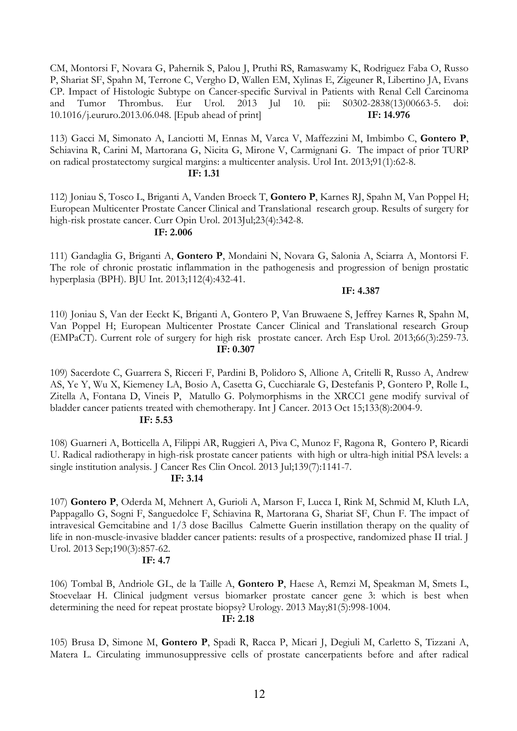CM, Montorsi F, Novara G, Pahernik S, Palou J, Pruthi RS, Ramaswamy K, Rodriguez Faba O, Russo P, Shariat SF, Spahn M, Terrone C, Vergho D, Wallen EM, Xylinas E, Zigeuner R, Libertino JA, Evans CP. Impact of Histologic Subtype on Cancer-specific Survival in Patients with Renal Cell Carcinoma and Tumor Thrombus. Eur Urol. 2013 Jul 10. pii: S0302-2838(13)00663-5. doi: 10.1016/j.eururo.2013.06.048. [Epub ahead of print] **IF: 14.976**

113) Gacci M, Simonato A, Lanciotti M, Ennas M, Varca V, Maffezzini M, Imbimbo C, **Gontero P**, Schiavina R, Carini M, Martorana G, Nicita G, Mirone V, Carmignani G. The impact of prior TURP on radical prostatectomy surgical margins: a multicenter analysis. Urol Int. 2013;91(1):62-8.

## **IF: 1.31**

112) Joniau S, Tosco L, Briganti A, Vanden Broeck T, **Gontero P**, Karnes RJ, Spahn M, Van Poppel H; European Multicenter Prostate Cancer Clinical and Translational research group. Results of surgery for high-risk prostate cancer. Curr Opin Urol. 2013Jul;23(4):342-8.

## **IF: 2.006**

111) Gandaglia G, Briganti A, **Gontero P**, Mondaini N, Novara G, Salonia A, Sciarra A, Montorsi F. The role of chronic prostatic inflammation in the pathogenesis and progression of benign prostatic hyperplasia (BPH). BJU Int. 2013;112(4):432-41.

#### **IF: 4.387**

110) Joniau S, Van der Eeckt K, Briganti A, Gontero P, Van Bruwaene S, Jeffrey Karnes R, Spahn M, Van Poppel H; European Multicenter Prostate Cancer Clinical and Translational research Group (EMPaCT). Current role of surgery for high risk prostate cancer. Arch Esp Urol. 2013;66(3):259-73. **IF: 0.307**

109) Sacerdote C, Guarrera S, Ricceri F, Pardini B, Polidoro S, Allione A, Critelli R, Russo A, Andrew AS, Ye Y, Wu X, Kiemeney LA, Bosio A, Casetta G, Cucchiarale G, Destefanis P, Gontero P, Rolle L, Zitella A, Fontana D, Vineis P, Matullo G. Polymorphisms in the XRCC1 gene modify survival of bladder cancer patients treated with chemotherapy. Int J Cancer. 2013 Oct 15;133(8):2004-9. **IF: 5.53**

108) Guarneri A, Botticella A, Filippi AR, Ruggieri A, Piva C, Munoz F, Ragona R, Gontero P, Ricardi U. Radical radiotherapy in high-risk prostate cancer patients with high or ultra-high initial PSA levels: a single institution analysis. J Cancer Res Clin Oncol. 2013 Jul;139(7):1141-7.

## **IF: 3.14**

107) **Gontero P**, Oderda M, Mehnert A, Gurioli A, Marson F, Lucca I, Rink M, Schmid M, Kluth LA, Pappagallo G, Sogni F, Sanguedolce F, Schiavina R, Martorana G, Shariat SF, Chun F. The impact of intravesical Gemcitabine and 1/3 dose Bacillus Calmette Guerin instillation therapy on the quality of life in non-muscle-invasive bladder cancer patients: results of a prospective, randomized phase II trial. J Urol. 2013 Sep;190(3):857-62.

## **IF: 4.7**

106) Tombal B, Andriole GL, de la Taille A, **Gontero P**, Haese A, Remzi M, Speakman M, Smets L, Stoevelaar H. Clinical judgment versus biomarker prostate cancer gene 3: which is best when determining the need for repeat prostate biopsy? Urology. 2013 May;81(5):998-1004. **IF: 2.18**

105) Brusa D, Simone M, **Gontero P**, Spadi R, Racca P, Micari J, Degiuli M, Carletto S, Tizzani A, Matera L. Circulating immunosuppressive cells of prostate cancerpatients before and after radical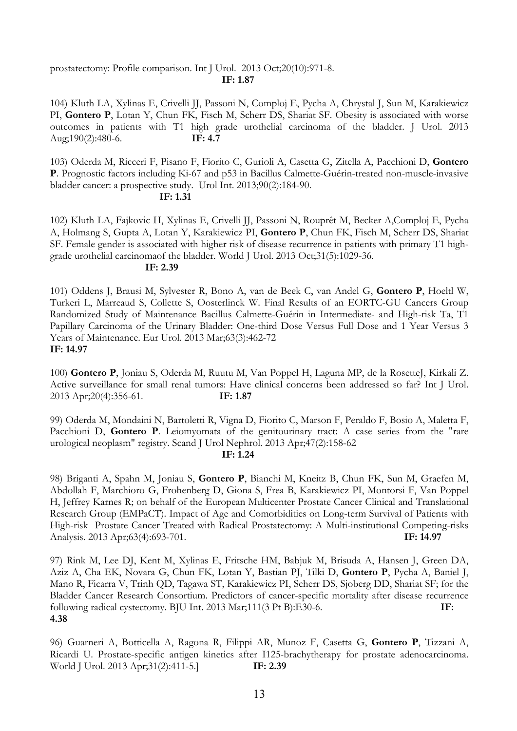## prostatectomy: Profile comparison. Int J Urol. 2013 Oct;20(10):971-8. **IF: 1.87**

104) Kluth LA, Xylinas E, Crivelli JJ, Passoni N, Comploj E, Pycha A, Chrystal J, Sun M, Karakiewicz PI, **Gontero P**, Lotan Y, Chun FK, Fisch M, Scherr DS, Shariat SF. Obesity is associated with worse outcomes in patients with T1 high grade urothelial carcinoma of the bladder. J Urol. 2013 Aug;190(2):480-6. **IF: 4.7**

103) Oderda M, Ricceri F, Pisano F, Fiorito C, Gurioli A, Casetta G, Zitella A, Pacchioni D, **Gontero P**. Prognostic factors including Ki-67 and p53 in Bacillus Calmette-Guérin-treated non-muscle-invasive bladder cancer: a prospective study. Urol Int. 2013;90(2):184-90.

## **IF: 1.31**

102) Kluth LA, Fajkovic H, Xylinas E, Crivelli JJ, Passoni N, Rouprêt M, Becker A,Comploj E, Pycha A, Holmang S, Gupta A, Lotan Y, Karakiewicz PI, **Gontero P**, Chun FK, Fisch M, Scherr DS, Shariat SF. Female gender is associated with higher risk of disease recurrence in patients with primary T1 highgrade urothelial carcinomaof the bladder. World J Urol. 2013 Oct;31(5):1029-36.

## **IF: 2.39**

101) Oddens J, Brausi M, Sylvester R, Bono A, van de Beek C, van Andel G, **Gontero P**, Hoeltl W, Turkeri L, Marreaud S, Collette S, Oosterlinck W. Final Results of an EORTC-GU Cancers Group Randomized Study of Maintenance Bacillus Calmette-Guérin in Intermediate- and High-risk Ta, T1 Papillary Carcinoma of the Urinary Bladder: One-third Dose Versus Full Dose and 1 Year Versus 3 Years of Maintenance. Eur Urol. 2013 Mar;63(3):462-72 **IF: 14.97**

100) **Gontero P**, Joniau S, Oderda M, Ruutu M, Van Poppel H, Laguna MP, de la RosetteJ, Kirkali Z. Active surveillance for small renal tumors: Have clinical concerns been addressed so far? Int J Urol. 2013 Apr;20(4):356-61. **IF: 1.87**

99) Oderda M, Mondaini N, Bartoletti R, Vigna D, Fiorito C, Marson F, Peraldo F, Bosio A, Maletta F, Pacchioni D, **Gontero P**. Leiomyomata of the genitourinary tract: A case series from the "rare urological neoplasm" registry. Scand J Urol Nephrol. 2013 Apr;47(2):158-62

# **IF: 1.24**

98) Briganti A, Spahn M, Joniau S, **Gontero P**, Bianchi M, Kneitz B, Chun FK, Sun M, Graefen M, Abdollah F, Marchioro G, Frohenberg D, Giona S, Frea B, Karakiewicz PI, Montorsi F, Van Poppel H, Jeffrey Karnes R; on behalf of the European Multicenter Prostate Cancer Clinical and Translational Research Group (EMPaCT). Impact of Age and Comorbidities on Long-term Survival of Patients with High-risk Prostate Cancer Treated with Radical Prostatectomy: A Multi-institutional Competing-risks Analysis. 2013 Apr;63(4):693-701. **IF: 14.97**

97) Rink M, Lee DJ, Kent M, Xylinas E, Fritsche HM, Babjuk M, Brisuda A, Hansen J, Green DA, Aziz A, Cha EK, Novara G, Chun FK, Lotan Y, Bastian PJ, Tilki D, **Gontero P**, Pycha A, Baniel J, Mano R, Ficarra V, Trinh QD, Tagawa ST, Karakiewicz PI, Scherr DS, Sjoberg DD, Shariat SF; for the Bladder Cancer Research Consortium. Predictors of cancer-specific mortality after disease recurrence following radical cystectomy. BJU Int. 2013 Mar;111(3 Pt B):E30-6. **IF: 4.38**

96) Guarneri A, Botticella A, Ragona R, Filippi AR, Munoz F, Casetta G, **Gontero P**, Tizzani A, Ricardi U. Prostate-specific antigen kinetics after I125-brachytherapy for prostate adenocarcinoma. World J Urol. 2013 Apr;31(2):411-5.] **IF: 2.39**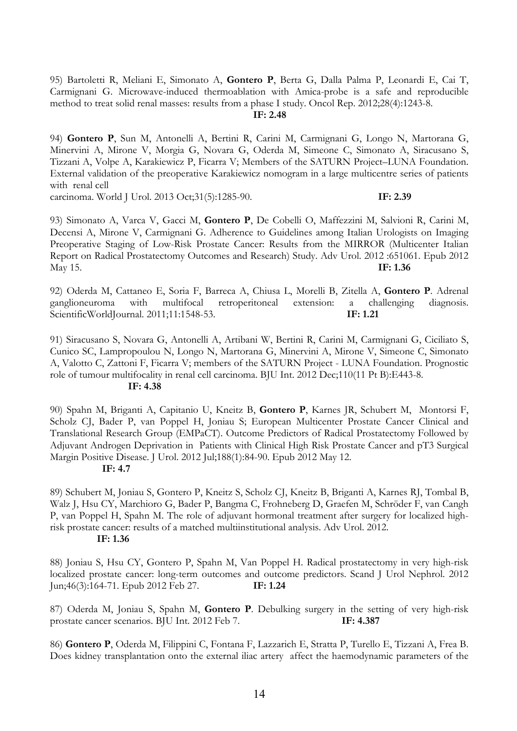95) Bartoletti R, Meliani E, Simonato A, **Gontero P**, Berta G, Dalla Palma P, Leonardi E, Cai T, Carmignani G. Microwave-induced thermoablation with Amica-probe is a safe and reproducible method to treat solid renal masses: results from a phase I study. Oncol Rep. 2012;28(4):1243-8.

#### **IF: 2.48**

94) **Gontero P**, Sun M, Antonelli A, Bertini R, Carini M, Carmignani G, Longo N, Martorana G, Minervini A, Mirone V, Morgia G, Novara G, Oderda M, Simeone C, Simonato A, Siracusano S, Tizzani A, Volpe A, Karakiewicz P, Ficarra V; Members of the SATURN Project–LUNA Foundation. External validation of the preoperative Karakiewicz nomogram in a large multicentre series of patients with renal cell

carcinoma. World J Urol. 2013 Oct;31(5):1285-90. **IF: 2.39**

93) Simonato A, Varca V, Gacci M, **Gontero P**, De Cobelli O, Maffezzini M, Salvioni R, Carini M, Decensi A, Mirone V, Carmignani G. Adherence to Guidelines among Italian Urologists on Imaging Preoperative Staging of Low-Risk Prostate Cancer: Results from the MIRROR (Multicenter Italian Report on Radical Prostatectomy Outcomes and Research) Study. Adv Urol. 2012 :651061. Epub 2012 May 15. **IF: 1.36**

92) Oderda M, Cattaneo E, Soria F, Barreca A, Chiusa L, Morelli B, Zitella A, **Gontero P**. Adrenal ganglioneuroma with multifocal retroperitoneal extension: a challenging diagnosis. ScientificWorldJournal. 2011;11:1548-53. **IF: 1.21**

91) Siracusano S, Novara G, Antonelli A, Artibani W, Bertini R, Carini M, Carmignani G, Ciciliato S, Cunico SC, Lampropoulou N, Longo N, Martorana G, Minervini A, Mirone V, Simeone C, Simonato A, Valotto C, Zattoni F, Ficarra V; members of the SATURN Project - LUNA Foundation. Prognostic role of tumour multifocality in renal cell carcinoma. BJU Int. 2012 Dec;110(11 Pt B):E443-8. **IF: 4.38**

90) Spahn M, Briganti A, Capitanio U, Kneitz B, **Gontero P**, Karnes JR, Schubert M, Montorsi F, Scholz CJ, Bader P, van Poppel H, Joniau S; European Multicenter Prostate Cancer Clinical and Translational Research Group (EMPaCT). Outcome Predictors of Radical Prostatectomy Followed by Adjuvant Androgen Deprivation in Patients with Clinical High Risk Prostate Cancer and pT3 Surgical Margin Positive Disease. J Urol. 2012 Jul;188(1):84-90. Epub 2012 May 12.

#### **IF: 4.7**

89) Schubert M, Joniau S, Gontero P, Kneitz S, Scholz CJ, Kneitz B, Briganti A, Karnes RJ, Tombal B, Walz J, Hsu CY, Marchioro G, Bader P, Bangma C, Frohneberg D, Graefen M, Schröder F, van Cangh P, van Poppel H, Spahn M. The role of adjuvant hormonal treatment after surgery for localized highrisk prostate cancer: results of a matched multiinstitutional analysis. Adv Urol. 2012.

#### **IF: 1.36**

88) Joniau S, Hsu CY, Gontero P, Spahn M, Van Poppel H. Radical prostatectomy in very high-risk localized prostate cancer: long-term outcomes and outcome predictors. Scand J Urol Nephrol. 2012 Jun;46(3):164-71. Epub 2012 Feb 27. **IF: 1.24**

87) Oderda M, Joniau S, Spahn M, **Gontero P**. Debulking surgery in the setting of very high-risk prostate cancer scenarios. BJU Int. 2012 Feb 7. **IF: 4.387**

86) **Gontero P**, Oderda M, Filippini C, Fontana F, Lazzarich E, Stratta P, Turello E, Tizzani A, Frea B. Does kidney transplantation onto the external iliac artery affect the haemodynamic parameters of the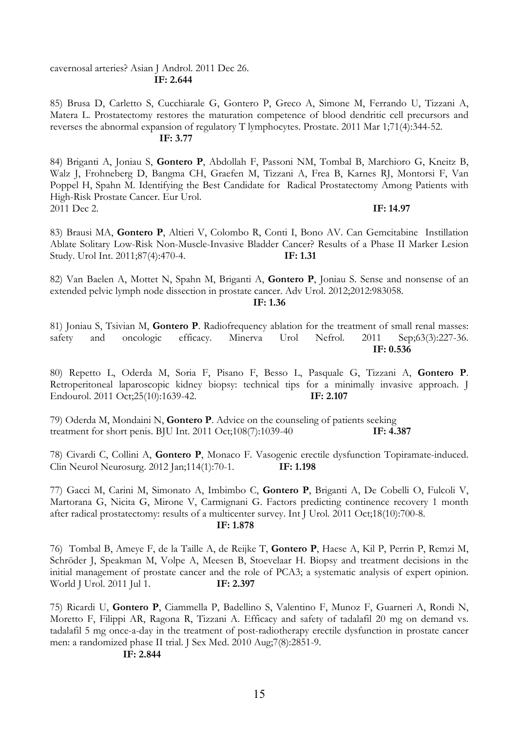## cavernosal arteries? Asian J Androl. 2011 Dec 26. **IF: 2.644**

85) Brusa D, Carletto S, Cucchiarale G, Gontero P, Greco A, Simone M, Ferrando U, Tizzani A, Matera L. Prostatectomy restores the maturation competence of blood dendritic cell precursors and reverses the abnormal expansion of regulatory T lymphocytes. Prostate. 2011 Mar 1;71(4):344-52. **IF: 3.77**

84) Briganti A, Joniau S, **Gontero P**, Abdollah F, Passoni NM, Tombal B, Marchioro G, Kneitz B, Walz J, Frohneberg D, Bangma CH, Graefen M, Tizzani A, Frea B, Karnes RJ, Montorsi F, Van Poppel H, Spahn M. Identifying the Best Candidate for Radical Prostatectomy Among Patients with High-Risk Prostate Cancer. Eur Urol. 2011 Dec 2. **IF: 14.97**

83) Brausi MA, **Gontero P**, Altieri V, Colombo R, Conti I, Bono AV. Can Gemcitabine Instillation Ablate Solitary Low-Risk Non-Muscle-Invasive Bladder Cancer? Results of a Phase II Marker Lesion Study. Urol Int. 2011;87(4):470-4. **IF: 1.31**

82) Van Baelen A, Mottet N, Spahn M, Briganti A, **Gontero P**, Joniau S. Sense and nonsense of an extended pelvic lymph node dissection in prostate cancer. Adv Urol. 2012;2012:983058.

#### **IF: 1.36**

81) Joniau S, Tsivian M, **Gontero P**. Radiofrequency ablation for the treatment of small renal masses: safety and oncologic efficacy. Minerva Urol Nefrol. 2011 Sep;63(3):227-36. **IF: 0.536**

80) Repetto L, Oderda M, Soria F, Pisano F, Besso L, Pasquale G, Tizzani A, **Gontero P**. Retroperitoneal laparoscopic kidney biopsy: technical tips for a minimally invasive approach. J Endourol. 2011 Oct;25(10):1639-42. **IF: 2.107**

79) Oderda M, Mondaini N, **Gontero P**. Advice on the counseling of patients seeking treatment for short penis. BJU Int. 2011 Oct;108(7):1039-40 **IF: 4.387**

78) Civardi C, Collini A, **Gontero P**, Monaco F. Vasogenic erectile dysfunction Topiramate-induced. Clin Neurol Neurosurg. 2012 Jan;114(1):70-1. **IF: 1.198**

77) Gacci M, Carini M, Simonato A, Imbimbo C, **Gontero P**, Briganti A, De Cobelli O, Fulcoli V, Martorana G, Nicita G, Mirone V, Carmignani G. Factors predicting continence recovery 1 month after radical prostatectomy: results of a multicenter survey. Int J Urol. 2011 Oct;18(10):700-8. **IF: 1.878**

76) Tombal B, Ameye F, de la Taille A, de Reijke T, **Gontero P**, Haese A, Kil P, Perrin P, Remzi M, Schröder J, Speakman M, Volpe A, Meesen B, Stoevelaar H. Biopsy and treatment decisions in the initial management of prostate cancer and the role of PCA3; a systematic analysis of expert opinion. World J Urol. 2011 Jul 1. **IF: 2.397**

75) Ricardi U, **Gontero P**, Ciammella P, Badellino S, Valentino F, Munoz F, Guarneri A, Rondi N, Moretto F, Filippi AR, Ragona R, Tizzani A. Efficacy and safety of tadalafil 20 mg on demand vs. tadalafil 5 mg once-a-day in the treatment of post-radiotherapy erectile dysfunction in prostate cancer men: a randomized phase II trial. J Sex Med. 2010 Aug;7(8):2851-9.

#### **IF: 2.844**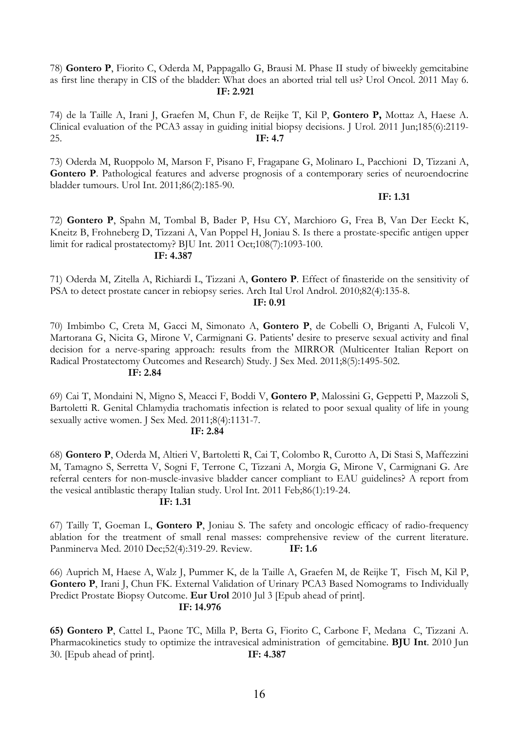78) **Gontero P**, Fiorito C, Oderda M, Pappagallo G, Brausi M. Phase II study of biweekly gemcitabine as first line therapy in CIS of the bladder: What does an aborted trial tell us? Urol Oncol. 2011 May 6. **IF: 2.921**

74) de la Taille A, Irani J, Graefen M, Chun F, de Reijke T, Kil P, **Gontero P,** Mottaz A, Haese A. Clinical evaluation of the PCA3 assay in guiding initial biopsy decisions. J Urol. 2011 Jun;185(6):2119- 25. **IF: 4.7**

73) Oderda M, Ruoppolo M, Marson F, Pisano F, Fragapane G, Molinaro L, Pacchioni D, Tizzani A, **Gontero P**. Pathological features and adverse prognosis of a contemporary series of neuroendocrine bladder tumours. Urol Int. 2011;86(2):185-90.

## **IF: 1.31**

72) **Gontero P**, Spahn M, Tombal B, Bader P, Hsu CY, Marchioro G, Frea B, Van Der Eeckt K, Kneitz B, Frohneberg D, Tizzani A, Van Poppel H, Joniau S. Is there a prostate-specific antigen upper limit for radical prostatectomy? BJU Int. 2011 Oct;108(7):1093-100. **IF: 4.387**

71) Oderda M, Zitella A, Richiardi L, Tizzani A, **Gontero P**. Effect of finasteride on the sensitivity of PSA to detect prostate cancer in rebiopsy series. Arch Ital Urol Androl. 2010;82(4):135-8.

## **IF: 0.91**

70) Imbimbo C, Creta M, Gacci M, Simonato A, **Gontero P**, de Cobelli O, Briganti A, Fulcoli V, Martorana G, Nicita G, Mirone V, Carmignani G. Patients' desire to preserve sexual activity and final decision for a nerve-sparing approach: results from the MIRROR (Multicenter Italian Report on Radical Prostatectomy Outcomes and Research) Study. J Sex Med. 2011;8(5):1495-502.

#### **IF: 2.84**

69) Cai T, Mondaini N, Migno S, Meacci F, Boddi V, **Gontero P**, Malossini G, Geppetti P, Mazzoli S, Bartoletti R. Genital Chlamydia trachomatis infection is related to poor sexual quality of life in young sexually active women. J Sex Med. 2011;8(4):1131-7.

## **IF: 2.84**

68) **Gontero P**, Oderda M, Altieri V, Bartoletti R, Cai T, Colombo R, Curotto A, Di Stasi S, Maffezzini M, Tamagno S, Serretta V, Sogni F, Terrone C, Tizzani A, Morgia G, Mirone V, Carmignani G. Are referral centers for non-muscle-invasive bladder cancer compliant to EAU guidelines? A report from the vesical antiblastic therapy Italian study. Urol Int. 2011 Feb;86(1):19-24.

## **IF: 1.31**

67) Tailly T, Goeman L, **Gontero P**, Joniau S. The safety and oncologic efficacy of radio-frequency ablation for the treatment of small renal masses: comprehensive review of the current literature. Panminerva Med. 2010 Dec;52(4):319-29. Review. **IF: 1.6**

66) Auprich M, Haese A, Walz J, Pummer K, de la Taille A, Graefen M, de Reijke T, Fisch M, Kil P, Gontero P, Irani J, Chun FK. External Validation of Urinary PCA3 Based Nomograms to Individually Predict Prostate Biopsy Outcome. **Eur Urol** 2010 Jul 3 [Epub ahead of print]. **IF: 14.976**

**65) Gontero P**, Cattel L, Paone TC, Milla P, Berta G, Fiorito C, Carbone F, Medana C, Tizzani A. Pharmacokinetics study to optimize the intravesical administration of gemcitabine. **BJU Int**. 2010 Jun 30. [Epub ahead of print]. **IF: 4.387**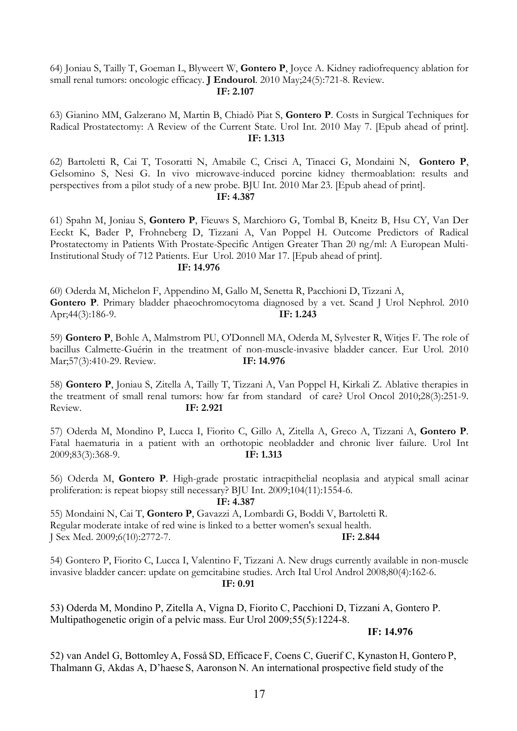## 64) Joniau S, Tailly T, Goeman L, Blyweert W, **Gontero P**, Joyce A. Kidney radiofrequency ablation for small renal tumors: oncologic efficacy. **J Endourol**. 2010 May;24(5):721-8. Review. **IF: 2.107**

63) Gianino MM, Galzerano M, Martin B, Chiadò Piat S, **Gontero P**. Costs in Surgical Techniques for Radical Prostatectomy: A Review of the Current State. Urol Int. 2010 May 7. [Epub ahead of print]. **IF: 1.313**

62) Bartoletti R, Cai T, Tosoratti N, Amabile C, Crisci A, Tinacci G, Mondaini N, **Gontero P**, Gelsomino S, Nesi G. In vivo microwave-induced porcine kidney thermoablation: results and perspectives from a pilot study of a new probe. BJU Int. 2010 Mar 23. [Epub ahead of print]. **IF: 4.387**

61) Spahn M, Joniau S, **Gontero P**, Fieuws S, Marchioro G, Tombal B, Kneitz B, Hsu CY, Van Der Eeckt K, Bader P, Frohneberg D, Tizzani A, Van Poppel H. Outcome Predictors of Radical Prostatectomy in Patients With Prostate-Specific Antigen Greater Than 20 ng/ml: A European Multi-Institutional Study of 712 Patients. Eur Urol. 2010 Mar 17. [Epub ahead of print].

## **IF: 14.976**

60) Oderda M, Michelon F, Appendino M, Gallo M, Senetta R, Pacchioni D, Tizzani A, Gontero P. Primary bladder phaeochromocytoma diagnosed by a vet. Scand J Urol Nephrol. 2010 Apr;44(3):186-9. **IF: 1.243**

59) **Gontero P**, Bohle A, Malmstrom PU, O'Donnell MA, Oderda M, Sylvester R, Witjes F. The role of bacillus Calmette-Guérin in the treatment of non-muscle-invasive bladder cancer. Eur Urol. 2010 Mar;57(3):410-29. Review. **IF: 14.976**

58) **Gontero P**, Joniau S, Zitella A, Tailly T, Tizzani A, Van Poppel H, Kirkali Z. Ablative therapies in the treatment of small renal tumors: how far from standard of care? Urol Oncol 2010;28(3):251-9. Review. **IF: 2.921**

57) Oderda M, Mondino P, Lucca I, Fiorito C, Gillo A, Zitella A, Greco A, Tizzani A, **Gontero P**. Fatal haematuria in a patient with an orthotopic neobladder and chronic liver failure. Urol Int 2009;83(3):368-9. **IF: 1.313**

56) Oderda M, **Gontero P**. High-grade prostatic intraepithelial neoplasia and atypical small acinar proliferation: is repeat biopsy still necessary? BJU Int. 2009;104(11):1554-6.

#### **IF: 4.387**

55) Mondaini N, Cai T, **Gontero P**, Gavazzi A, Lombardi G, Boddi V, Bartoletti R. Regular moderate intake of red wine is linked to a better women's sexual health. J Sex Med. 2009;6(10):2772-7. **IF: 2.844**

54) Gontero P, Fiorito C, Lucca I, Valentino F, Tizzani A. New drugs currently available in non-muscle invasive bladder cancer: update on gemcitabine studies. Arch Ital Urol Androl 2008;80(4):162-6.

**IF: 0.91**

53) Oderda M, Mondino P, Zitella A, Vigna D, Fiorito C, Pacchioni D, Tizzani A, Gontero P. Multipathogenetic origin of a pelvic mass. Eur Urol 2009;55(5):1224-8.

## **IF: 14.976**

52) van Andel G, Bottomley A, Fosså SD, Efficace F, Coens C, Guerif C, Kynaston H, Gontero P, Thalmann G, Akdas A, D'haese S, Aaronson N. An international prospective field study of the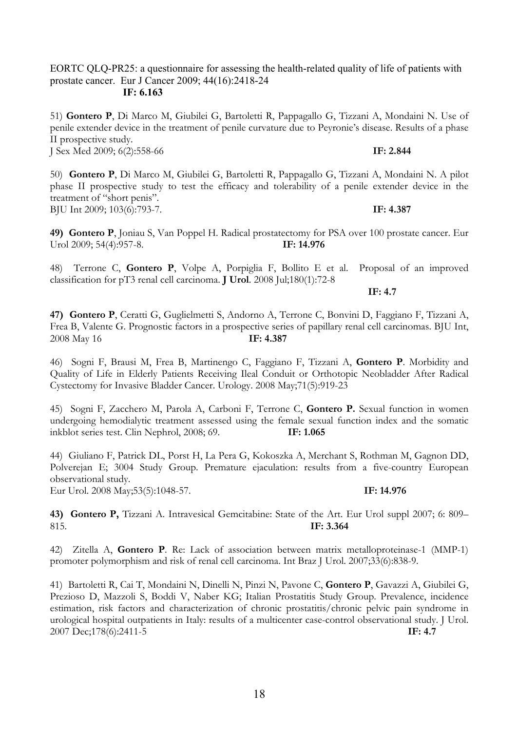EORTC QLQ-PR25: a questionnaire for assessing the health-related quality of life of patients with prostate cancer. Eur J Cancer 2009; 44(16):2418-24  **IF: 6.163**

51) **Gontero P**, Di Marco M, Giubilei G, Bartoletti R, Pappagallo G, Tizzani A, Mondaini N. Use of penile extender device in the treatment of penile curvature due to Peyronie's disease. Results of a phase II prospective study. J Sex Med 2009; 6(2):558-66 **IF: 2.844**

50) **Gontero P**, Di Marco M, Giubilei G, Bartoletti R, Pappagallo G, Tizzani A, Mondaini N. A pilot phase II prospective study to test the efficacy and tolerability of a penile extender device in the treatment of "short penis". BJU Int 2009; 103(6):793-7. **IF: 4.387**

**49) Gontero P**, Joniau S, Van Poppel H. Radical prostatectomy for PSA over 100 prostate cancer. Eur Urol 2009; 54(4):957-8. **IF: 14.976**

48) Terrone C, **Gontero P**, Volpe A, Porpiglia F, Bollito E et al. Proposal of an improved classification for pT3 renal cell carcinoma. **J Urol**. 2008 Jul;180(1):72-8

**47) Gontero P**, Ceratti G, Guglielmetti S, Andorno A, Terrone C, Bonvini D, Faggiano F, Tizzani A, Frea B, Valente G. Prognostic factors in a prospective series of papillary renal cell carcinomas. BJU Int, 2008 May 16 **IF: 4.387**

46) Sogni F, Brausi M, Frea B, Martinengo C, Faggiano F, Tizzani A, **Gontero P**. Morbidity and Quality of Life in Elderly Patients Receiving Ileal Conduit or Orthotopic Neobladder After Radical Cystectomy for Invasive Bladder Cancer. Urology. 2008 May;71(5):919-23

45) Sogni F, Zacchero M, Parola A, Carboni F, Terrone C, **Gontero P.** Sexual function in women undergoing hemodialytic treatment assessed using the female sexual function index and the somatic inkblot series test. Clin Nephrol, 2008; 69. **IF: 1.065**

44) Giuliano F, Patrick DL, Porst H, La Pera G, Kokoszka A, Merchant S, Rothman M, Gagnon DD, Polverejan E; 3004 Study Group. Premature ejaculation: results from a five-country European observational study.

Eur Urol. 2008 May;53(5):1048-57. **IF: 14.976**

**43) Gontero P,** Tizzani A. Intravesical Gemcitabine: State of the Art. Eur Urol suppl 2007; 6: 809– 815. **IF: 3.364**

42) Zitella A, **Gontero P**. Re: Lack of association between matrix metalloproteinase-1 (MMP-1) promoter polymorphism and risk of renal cell carcinoma. Int Braz J Urol. 2007;33(6):838-9.

41) Bartoletti R, Cai T, Mondaini N, Dinelli N, Pinzi N, Pavone C, **Gontero P**, Gavazzi A, Giubilei G, Prezioso D, Mazzoli S, Boddi V, Naber KG; Italian Prostatitis Study Group. Prevalence, incidence estimation, risk factors and characterization of chronic prostatitis/chronic pelvic pain syndrome in urological hospital outpatients in Italy: results of a multicenter case-control observational study. J Urol. 2007 Dec;178(6):2411-5 **IF: 4.7**

**IF: 4.7**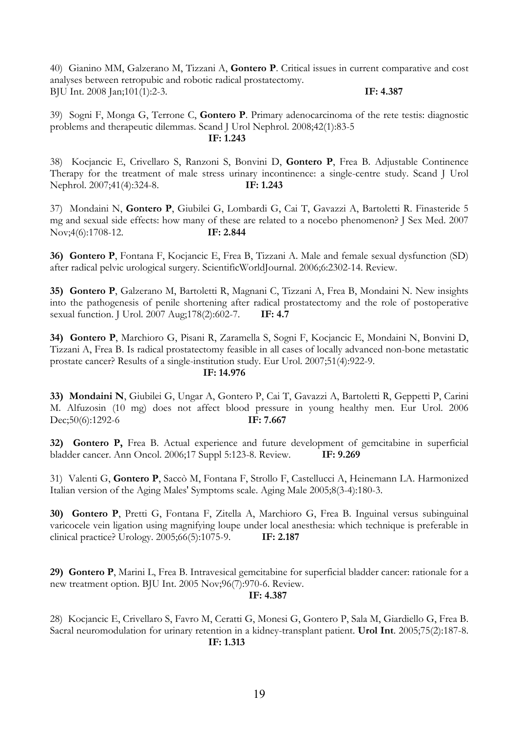40) Gianino MM, Galzerano M, Tizzani A, **Gontero P**. Critical issues in current comparative and cost analyses between retropubic and robotic radical prostatectomy. BJU Int. 2008 Jan;101(1):2-3. **IF: 4.387**

39) Sogni F, Monga G, Terrone C, **Gontero P**. Primary adenocarcinoma of the rete testis: diagnostic problems and therapeutic dilemmas. Scand J Urol Nephrol. 2008;42(1):83-5 **IF: 1.243**

38) Kocjancic E, Crivellaro S, Ranzoni S, Bonvini D, **Gontero P**, Frea B. Adjustable Continence Therapy for the treatment of male stress urinary incontinence: a single-centre study. Scand J Urol Nephrol. 2007;41(4):324-8. **IF: 1.243**

37) Mondaini N, **Gontero P**, Giubilei G, Lombardi G, Cai T, Gavazzi A, Bartoletti R. Finasteride 5 mg and sexual side effects: how many of these are related to a nocebo phenomenon? J Sex Med. 2007 Nov;4(6):1708-12. **IF: 2.844**

**36) Gontero P**, Fontana F, Kocjancic E, Frea B, Tizzani A. Male and female sexual dysfunction (SD) after radical pelvic urological surgery. ScientificWorldJournal. 2006;6:2302-14. Review.

**35) Gontero P**, Galzerano M, Bartoletti R, Magnani C, Tizzani A, Frea B, Mondaini N. New insights into the pathogenesis of penile shortening after radical prostatectomy and the role of postoperative sexual function. J Urol. 2007 Aug;178(2):602-7. **IF: 4.7**

**34) Gontero P**, Marchioro G, Pisani R, Zaramella S, Sogni F, Kocjancic E, Mondaini N, Bonvini D, Tizzani A, Frea B. Is radical prostatectomy feasible in all cases of locally advanced non-bone metastatic prostate cancer? Results of a single-institution study. Eur Urol. 2007;51(4):922-9.

#### **IF: 14.976**

**33) Mondaini N**, Giubilei G, Ungar A, Gontero P, Cai T, Gavazzi A, Bartoletti R, Geppetti P, Carini M. Alfuzosin (10 mg) does not affect blood pressure in young healthy men. Eur Urol. 2006 Dec;50(6):1292-6 **IF: 7.667**

**32) Gontero P,** Frea B. Actual experience and future development of gemcitabine in superficial bladder cancer. Ann Oncol. 2006;17 Suppl 5:123-8. Review. **IF: 9.269**

31) Valenti G, **Gontero P**, Saccò M, Fontana F, Strollo F, Castellucci A, Heinemann LA. Harmonized Italian version of the Aging Males' Symptoms scale. Aging Male 2005;8(3-4):180-3.

**30) Gontero P**, Pretti G, Fontana F, Zitella A, Marchioro G, Frea B. Inguinal versus subinguinal varicocele vein ligation using magnifying loupe under local anesthesia: which technique is preferable in clinical practice? Urology. 2005;66(5):1075-9. **IF: 2.187**

**29) Gontero P**, Marini L, Frea B. Intravesical gemcitabine for superficial bladder cancer: rationale for a new treatment option. BJU Int. 2005 Nov;96(7):970-6. Review.

## **IF: 4.387**

28) Kocjancic E, Crivellaro S, Favro M, Ceratti G, Monesi G, Gontero P, Sala M, Giardiello G, Frea B. Sacral neuromodulation for urinary retention in a kidney-transplant patient. **Urol Int**. 2005;75(2):187-8. **IF: 1.313**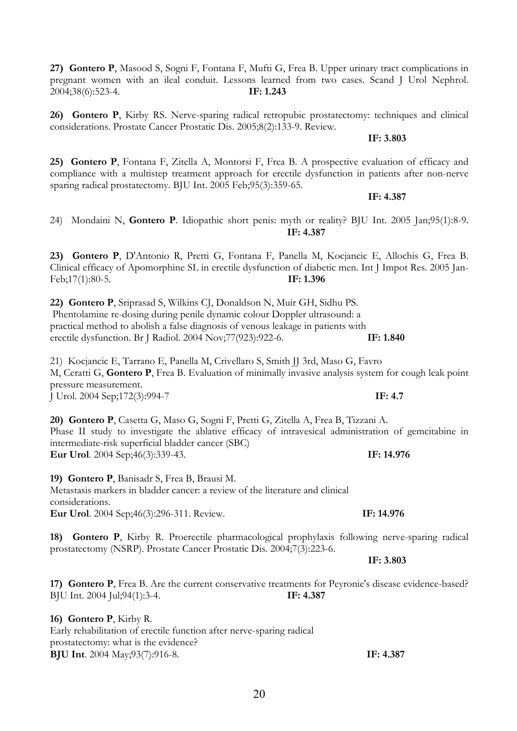**27) Gontero P**, Masood S, Sogni F, Fontana F, Mufti G, Frea B. Upper urinary tract complications in pregnant women with an ileal conduit. Lessons learned from two cases. Scand J Urol Nephrol. 2004;38(6):523-4. **IF: 1.243**

**26) Gontero P**, Kirby RS. Nerve-sparing radical retropubic prostatectomy: techniques and clinical considerations. Prostate Cancer Prostatic Dis. 2005;8(2):133-9. Review.

**IF: 3.803**

**25) Gontero P**, Fontana F, Zitella A, Montorsi F, Frea B. A prospective evaluation of efficacy and compliance with a multistep treatment approach for erectile dysfunction in patients after non-nerve sparing radical prostatectomy. BJU Int. 2005 Feb;95(3):359-65.

**IF: 4.387**

24) Mondaini N, **Gontero P**. Idiopathic short penis: myth or reality? BJU Int. 2005 Jan;95(1):8-9. **IF: 4.387**

**23) Gontero P**, D'Antonio R, Pretti G, Fontana F, Panella M, Kocjancic E, Allochis G, Frea B. Clinical efficacy of Apomorphine SL in erectile dysfunction of diabetic men. Int J Impot Res. 2005 Jan-Feb;17(1):80-5. **IF: 1.396**

**22) Gontero P**, Sriprasad S, Wilkins CJ, Donaldson N, Muir GH, Sidhu PS. Phentolamine re-dosing during penile dynamic colour Doppler ultrasound: a practical method to abolish a false diagnosis of venous leakage in patients with erectile dysfunction. Br J Radiol. 2004 Nov;77(923):922-6. **IF: 1.840**

21) Kocjancic E, Tarrano E, Panella M, Crivellaro S, Smith JJ 3rd, Maso G, Favro M, Ceratti G, **Gontero P**, Frea B. Evaluation of minimally invasive analysis system for cough leak point pressure measurement. J Urol. 2004 Sep;172(3):994-7 **IF: 4.7**

**20) Gontero P**, Casetta G, Maso G, Sogni F, Pretti G, Zitella A, Frea B, Tizzani A. Phase II study to investigate the ablative efficacy of intravesical administration of gemcitabine in intermediate-risk superficial bladder cancer (SBC) **Eur Urol**. 2004 Sep;46(3):339-43. **IF: 14.976**

**19) Gontero P**, Banisadr S, Frea B, Brausi M.

Metastasis markers in bladder cancer: a review of the literature and clinical considerations. **Eur Urol**. 2004 Sep;46(3):296-311. Review. **IF: 14.976**

**18) Gontero P**, Kirby R. Proerectile pharmacological prophylaxis following nerve-sparing radical prostatectomy (NSRP). Prostate Cancer Prostatic Dis. 2004;7(3):223-6.

**17) Gontero P**, Frea B. Are the current conservative treatments for Peyronie's disease evidence-based? BJU Int. 2004 Jul;94(1):3-4. **IF: 4.387**

**16) Gontero P**, Kirby R. Early rehabilitation of erectile function after nerve-sparing radical prostatectomy: what is the evidence? **BJU Int**. 2004 May;93(7):916-8. **IF: 4.387**

**IF: 3.803**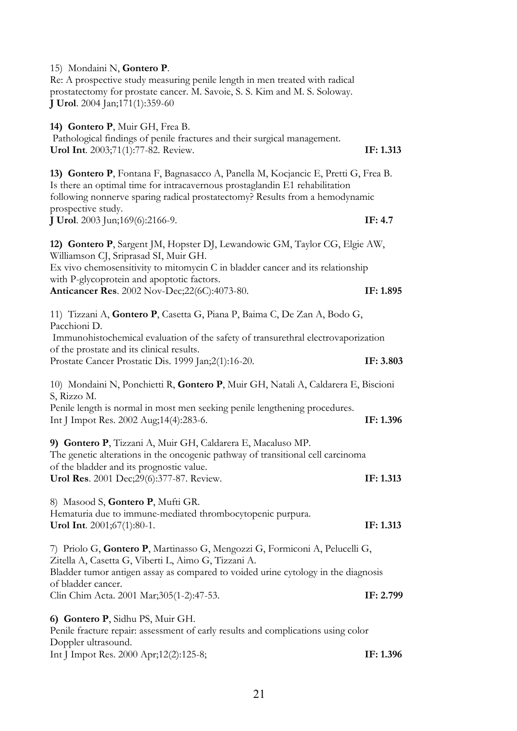| 15) Mondaini N, Gontero P.<br>Re: A prospective study measuring penile length in men treated with radical<br>prostatectomy for prostate cancer. M. Savoie, S. S. Kim and M. S. Soloway.<br><b>J Urol.</b> 2004 Jan;171(1):359-60                                       |           |
|------------------------------------------------------------------------------------------------------------------------------------------------------------------------------------------------------------------------------------------------------------------------|-----------|
| 14) Gontero P, Muir GH, Frea B.<br>Pathological findings of penile fractures and their surgical management.<br>Urol Int. 2003;71(1):77-82. Review.                                                                                                                     | IF: 1.313 |
| 13) Gontero P, Fontana F, Bagnasacco A, Panella M, Kocjancic E, Pretti G, Frea B.<br>Is there an optimal time for intracavernous prostaglandin E1 rehabilitation<br>following nonnerve sparing radical prostatectomy? Results from a hemodynamic<br>prospective study. |           |
| <b>J Urol</b> . 2003 Jun;169(6):2166-9.                                                                                                                                                                                                                                | IF: $4.7$ |
| 12) Gontero P, Sargent JM, Hopster DJ, Lewandowic GM, Taylor CG, Elgie AW,<br>Williamson CJ, Sriprasad SI, Muir GH.                                                                                                                                                    |           |
| Ex vivo chemosensitivity to mitomycin C in bladder cancer and its relationship<br>with P-glycoprotein and apoptotic factors.                                                                                                                                           |           |
| <b>Anticancer Res.</b> 2002 Nov-Dec; 22(6C): 4073-80.                                                                                                                                                                                                                  | IF: 1.895 |
| 11) Tizzani A, Gontero P, Casetta G, Piana P, Baima C, De Zan A, Bodo G,<br>Pacchioni D.                                                                                                                                                                               |           |
| Immunohistochemical evaluation of the safety of transurethral electrovaporization<br>of the prostate and its clinical results.                                                                                                                                         |           |
| Prostate Cancer Prostatic Dis. 1999 Jan;2(1):16-20.                                                                                                                                                                                                                    | IF: 3.803 |
| 10) Mondaini N, Ponchietti R, Gontero P, Muir GH, Natali A, Caldarera E, Biscioni<br>S, Rizzo M.                                                                                                                                                                       |           |
| Penile length is normal in most men seeking penile lengthening procedures.<br>Int J Impot Res. 2002 Aug;14(4):283-6.                                                                                                                                                   | IF: 1.396 |
| 9) Gontero P, Tizzani A, Muir GH, Caldarera E, Macaluso MP.<br>The genetic alterations in the oncogenic pathway of transitional cell carcinoma                                                                                                                         |           |
| of the bladder and its prognostic value.<br>Urol Res. 2001 Dec;29(6):377-87. Review.                                                                                                                                                                                   | IF: 1.313 |
| 8) Masood S, Gontero P, Mufti GR.<br>Hematuria due to immune-mediated thrombocytopenic purpura.                                                                                                                                                                        |           |
| Urol Int. 2001;67(1):80-1.                                                                                                                                                                                                                                             | IF: 1.313 |
| 7) Priolo G, Gontero P, Martinasso G, Mengozzi G, Formiconi A, Pelucelli G,<br>Zitella A, Casetta G, Viberti L, Aimo G, Tizzani A.                                                                                                                                     |           |
| Bladder tumor antigen assay as compared to voided urine cytology in the diagnosis                                                                                                                                                                                      |           |
| of bladder cancer.<br>Clin Chim Acta. 2001 Mar;305(1-2):47-53.                                                                                                                                                                                                         | IF: 2.799 |
| 6) Gontero P, Sidhu PS, Muir GH.<br>Penile fracture repair: assessment of early results and complications using color                                                                                                                                                  |           |
| Doppler ultrasound.<br>Int J Impot Res. 2000 Apr;12(2):125-8;                                                                                                                                                                                                          | IF: 1.396 |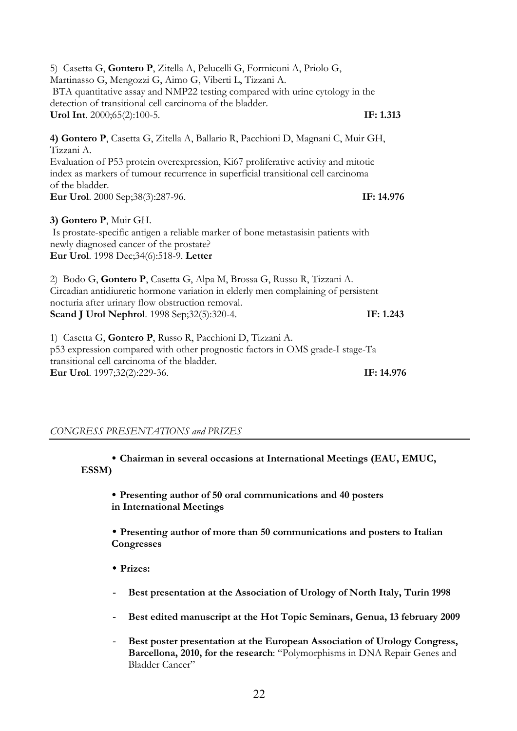5) Casetta G, **Gontero P**, Zitella A, Pelucelli G, Formiconi A, Priolo G, Martinasso G, Mengozzi G, Aimo G, Viberti L, Tizzani A. BTA quantitative assay and NMP22 testing compared with urine cytology in the detection of transitional cell carcinoma of the bladder. **Urol Int**. 2000;65(2):100-5. **IF: 1.313 4) Gontero P**, Casetta G, Zitella A, Ballario R, Pacchioni D, Magnani C, Muir GH, Tizzani A. Evaluation of P53 protein overexpression, Ki67 proliferative activity and mitotic index as markers of tumour recurrence in superficial transitional cell carcinoma of the bladder. **Eur Urol**. 2000 Sep;38(3):287-96. **IF: 14.976 3) Gontero P**, Muir GH. Is prostate-specific antigen a reliable marker of bone metastasisin patients with newly diagnosed cancer of the prostate? **Eur Urol**. 1998 Dec;34(6):518-9. **Letter** 2) Bodo G, **Gontero P**, Casetta G, Alpa M, Brossa G, Russo R, Tizzani A. Circadian antidiuretic hormone variation in elderly men complaining of persistent nocturia after urinary flow obstruction removal. **Scand J Urol Nephrol**. 1998 Sep;32(5):320-4. **IF: 1.243** 1) Casetta G, **Gontero P**, Russo R, Pacchioni D, Tizzani A. p53 expression compared with other prognostic factors in OMS grade-I stage-Ta transitional cell carcinoma of the bladder. **Eur Urol**. 1997;32(2):229-36. **IF: 14.976**

## *CONGRESS PRESENTATIONS and PRIZES*

• **Chairman in several occasions at International Meetings (EAU, EMUC, ESSM)**

• **Presenting author of 50 oral communications and 40 posters in International Meetings**

• **Presenting author of more than 50 communications and posters to Italian Congresses**

- **Prizes:**
- Best presentation at the Association of Urology of North Italy, Turin 1998
- **Best edited manuscript at the Hot Topic Seminars, Genua, 13 february 2009**
- Best poster presentation at the European Association of Urology Congress, **Barcellona, 2010, for the research**: "Polymorphisms in DNA Repair Genes and Bladder Cancer"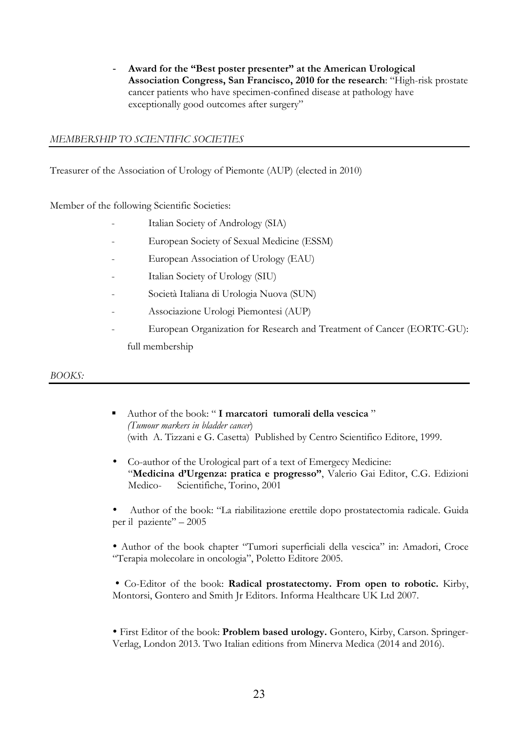- **Award for the "Best poster presenter" at the American Urological Association Congress, San Francisco, 2010 for the research**: "High-risk prostate cancer patients who have specimen-confined disease at pathology have exceptionally good outcomes after surgery"

## *MEMBERSHIP TO SCIENTIFIC SOCIETIES*

Treasurer of the Association of Urology of Piemonte (AUP) (elected in 2010)

Member of the following Scientific Societies:

- Italian Society of Andrology (SIA)
- European Society of Sexual Medicine (ESSM)
- European Association of Urology (EAU)
- Italian Society of Urology (SIU)
- Società Italiana di Urologia Nuova (SUN)
- Associazione Urologi Piemontesi (AUP)
- European Organization for Research and Treatment of Cancer (EORTC-GU): full membership

## *BOOKS:*

- § Author of the book: " **I marcatori tumorali della vescica** " *(Tumour markers in bladder cancer*) (with A. Tizzani e G. Casetta) Published by Centro Scientifico Editore, 1999.
- Co-author of the Urological part of a text of Emergecy Medicine: "**Medicina d'Urgenza: pratica e progresso"**, Valerio Gai Editor, C.G. Edizioni Medico- Scientifiche, Torino, 2001
- Author of the book: "La riabilitazione erettile dopo prostatectomia radicale. Guida per il paziente" – 2005

• Author of the book chapter "Tumori superficiali della vescica" in: Amadori, Croce "Terapia molecolare in oncologia", Poletto Editore 2005.

• Co-Editor of the book: **Radical prostatectomy. From open to robotic.** Kirby, Montorsi, Gontero and Smith Jr Editors. Informa Healthcare UK Ltd 2007.

• First Editor of the book: **Problem based urology.** Gontero, Kirby, Carson. Springer-Verlag, London 2013. Two Italian editions from Minerva Medica (2014 and 2016).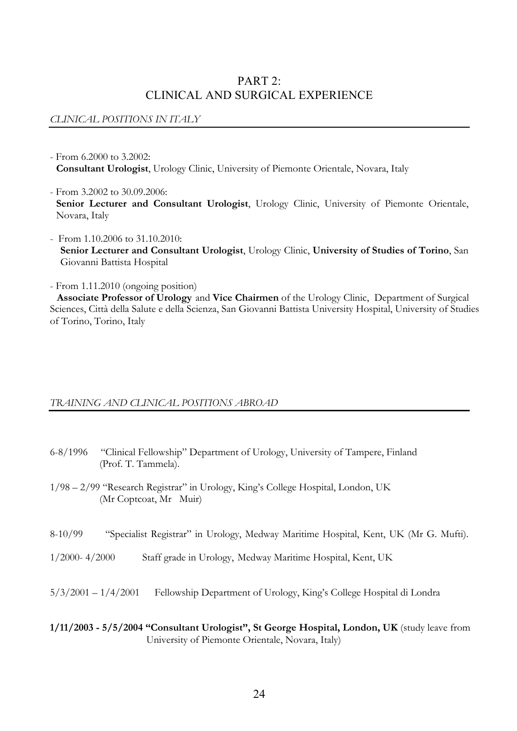# PART 2: CLINICAL AND SURGICAL EXPERIENCE

## *CLINICAL POSITIONS IN ITALY*

- From 6.2000 to 3.2002: **Consultant Urologist**, Urology Clinic, University of Piemonte Orientale, Novara, Italy
- From 3.2002 to 30.09.2006: Senior Lecturer and Consultant Urologist, Urology Clinic, University of Piemonte Orientale, Novara, Italy
- From 1.10.2006 to 31.10.2010: **Senior Lecturer and Consultant Urologist**, Urology Clinic, **University of Studies of Torino**, San Giovanni Battista Hospital
- From 1.11.2010 (ongoing position)

**Associate Professor of Urology**and **Vice Chairmen** of the Urology Clinic, Department of Surgical Sciences, Città della Salute e della Scienza, San Giovanni Battista University Hospital, University of Studies of Torino, Torino, Italy

## *TRAINING AND CLINICAL POSITIONS ABROAD*

- 6-8/1996 "Clinical Fellowship" Department of Urology, University of Tampere, Finland (Prof. T. Tammela).
- 1/98 2/99 "Research Registrar" in Urology, King's College Hospital, London, UK (Mr Coptcoat, Mr Muir)
- 8-10/99 "Specialist Registrar" in Urology, Medway Maritime Hospital, Kent, UK (Mr G. Mufti).
- 1/2000- 4/2000 Staff grade in Urology, Medway Maritime Hospital, Kent, UK
- 5/3/2001 1/4/2001 Fellowship Department of Urology, King's College Hospital di Londra
- **1/11/2003 - 5/5/2004 "Consultant Urologist", St George Hospital, London, UK** (study leave from University of Piemonte Orientale, Novara, Italy)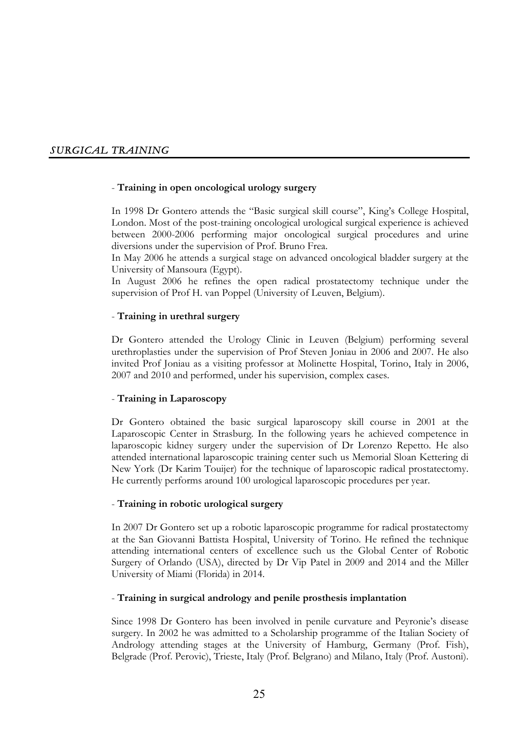## *SURGICAL TRAINING*

#### - **Training in open oncological urology surgery**

In 1998 Dr Gontero attends the "Basic surgical skill course", King's College Hospital, London. Most of the post-training oncological urological surgical experience is achieved between 2000-2006 performing major oncological surgical procedures and urine diversions under the supervision of Prof. Bruno Frea.

In May 2006 he attends a surgical stage on advanced oncological bladder surgery at the University of Mansoura (Egypt).

In August 2006 he refines the open radical prostatectomy technique under the supervision of Prof H. van Poppel (University of Leuven, Belgium).

#### - **Training in urethral surgery**

Dr Gontero attended the Urology Clinic in Leuven (Belgium) performing several urethroplasties under the supervision of Prof Steven Joniau in 2006 and 2007. He also invited Prof Joniau as a visiting professor at Molinette Hospital, Torino, Italy in 2006, 2007 and 2010 and performed, under his supervision, complex cases.

#### - **Training in Laparoscopy**

Dr Gontero obtained the basic surgical laparoscopy skill course in 2001 at the Laparoscopic Center in Strasburg. In the following years he achieved competence in laparoscopic kidney surgery under the supervision of Dr Lorenzo Repetto. He also attended international laparoscopic training center such us Memorial Sloan Kettering di New York (Dr Karim Touijer) for the technique of laparoscopic radical prostatectomy. He currently performs around 100 urological laparoscopic procedures per year.

#### - **Training in robotic urological surgery**

In 2007 Dr Gontero set up a robotic laparoscopic programme for radical prostatectomy at the San Giovanni Battista Hospital, University of Torino. He refined the technique attending international centers of excellence such us the Global Center of Robotic Surgery of Orlando (USA), directed by Dr Vip Patel in 2009 and 2014 and the Miller University of Miami (Florida) in 2014.

#### - **Training in surgical andrology and penile prosthesis implantation**

Since 1998 Dr Gontero has been involved in penile curvature and Peyronie's disease surgery. In 2002 he was admitted to a Scholarship programme of the Italian Society of Andrology attending stages at the University of Hamburg, Germany (Prof. Fish), Belgrade (Prof. Perovic), Trieste, Italy (Prof. Belgrano) and Milano, Italy (Prof. Austoni).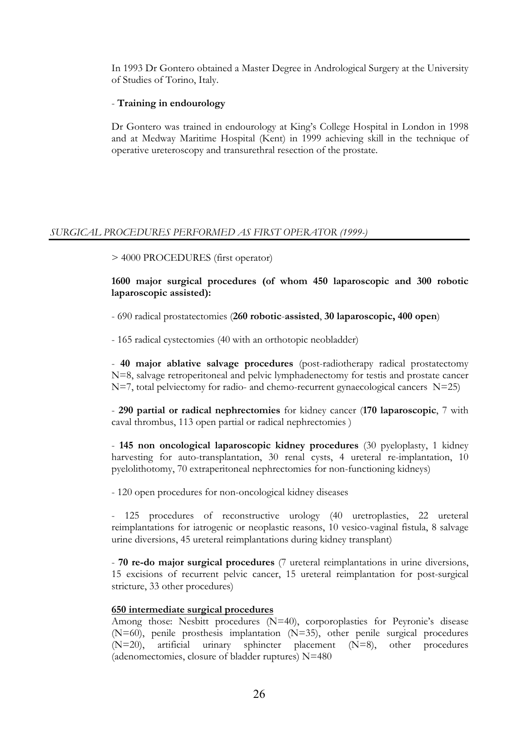In 1993 Dr Gontero obtained a Master Degree in Andrological Surgery at the University of Studies of Torino, Italy.

## - **Training in endourology**

Dr Gontero was trained in endourology at King's College Hospital in London in 1998 and at Medway Maritime Hospital (Kent) in 1999 achieving skill in the technique of operative ureteroscopy and transurethral resection of the prostate.

## *SURGICAL PROCEDURES PERFORMED AS FIRST OPERATOR (1999-)*

> 4000 PROCEDURES (first operator)

**1600 major surgical procedures (of whom 450 laparoscopic and 300 robotic laparoscopic assisted):**

- 690 radical prostatectomies (**260 robotic**-**assisted**, **30 laparoscopic, 400 open**)

- 165 radical cystectomies (40 with an orthotopic neobladder)

- **40 major ablative salvage procedures** (post-radiotherapy radical prostatectomy N=8, salvage retroperitoneal and pelvic lymphadenectomy for testis and prostate cancer N=7, total pelviectomy for radio- and chemo-recurrent gynaecological cancers N=25)

- **290 partial or radical nephrectomies** for kidney cancer (**170 laparoscopic**, 7 with caval thrombus, 113 open partial or radical nephrectomies )

- **145 non oncological laparoscopic kidney procedures** (30 pyeloplasty, 1 kidney harvesting for auto-transplantation, 30 renal cysts, 4 ureteral re-implantation, 10 pyelolithotomy, 70 extraperitoneal nephrectomies for non-functioning kidneys)

- 120 open procedures for non-oncological kidney diseases

- 125 procedures of reconstructive urology (40 uretroplasties, 22 ureteral reimplantations for iatrogenic or neoplastic reasons, 10 vesico-vaginal fistula, 8 salvage urine diversions, 45 ureteral reimplantations during kidney transplant)

- **70 re-do major surgical procedures** (7 ureteral reimplantations in urine diversions, 15 excisions of recurrent pelvic cancer, 15 ureteral reimplantation for post-surgical stricture, 33 other procedures)

## **650 intermediate surgical procedures**

Among those: Nesbitt procedures (N=40), corporoplasties for Peyronie's disease (N=60), penile prosthesis implantation (N=35), other penile surgical procedures (N=20), artificial urinary sphincter placement (N=8), other procedures (adenomectomies, closure of bladder ruptures) N=480